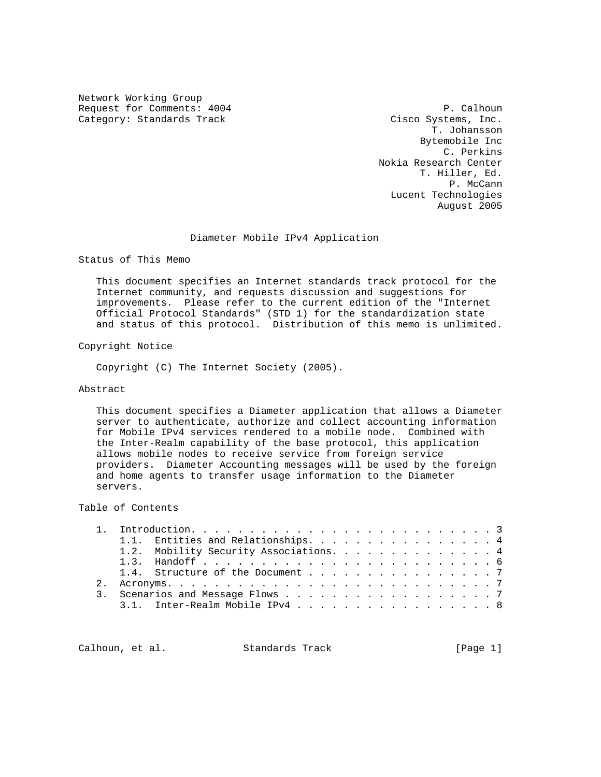Network Working Group Request for Comments: 4004 P. Calhoun Category: Standards Track Cisco Systems, Inc.

 T. Johansson Bytemobile Inc C. Perkins Nokia Research Center T. Hiller, Ed. P. McCann Lucent Technologies August 2005

### Diameter Mobile IPv4 Application

Status of This Memo

 This document specifies an Internet standards track protocol for the Internet community, and requests discussion and suggestions for improvements. Please refer to the current edition of the "Internet Official Protocol Standards" (STD 1) for the standardization state and status of this protocol. Distribution of this memo is unlimited.

Copyright Notice

Copyright (C) The Internet Society (2005).

### Abstract

 This document specifies a Diameter application that allows a Diameter server to authenticate, authorize and collect accounting information for Mobile IPv4 services rendered to a mobile node. Combined with the Inter-Realm capability of the base protocol, this application allows mobile nodes to receive service from foreign service providers. Diameter Accounting messages will be used by the foreign and home agents to transfer usage information to the Diameter servers.

# Table of Contents

|  | 1.1. Entities and Relationships. 4     |
|--|----------------------------------------|
|  | 1.2. Mobility Security Associations. 4 |
|  |                                        |
|  | 1.4. Structure of the Document 7       |
|  |                                        |
|  | 3. Scenarios and Message Flows 7       |
|  | 3.1. Inter-Realm Mobile IPv4 8         |

Calhoun, et al. Standards Track [Page 1]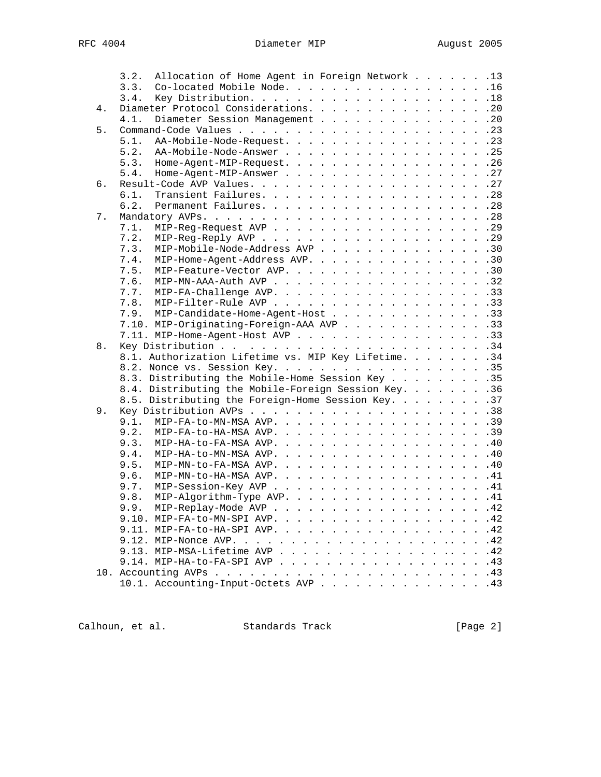|    | Allocation of Home Agent in Foreign Network 13<br>3.2. |  |
|----|--------------------------------------------------------|--|
|    | 3.3.<br>Co-located Mobile Node. 16                     |  |
|    | 3.4.                                                   |  |
| 4. | Diameter Protocol Considerations. 20                   |  |
|    | Diameter Session Management 20<br>4.1.                 |  |
| 5. |                                                        |  |
|    | 5.1.<br>AA-Mobile-Node-Request. 23                     |  |
|    | 5.2. AA-Mobile-Node-Answer 25                          |  |
|    | 5.3. Home-Agent-MIP-Request. 26                        |  |
|    | 5.4.<br>Home-Agent-MIP-Answer 27                       |  |
| 6. |                                                        |  |
|    | 6.1.                                                   |  |
|    | 6.2.                                                   |  |
| 7. |                                                        |  |
|    | 7.1.                                                   |  |
|    | 7.2.                                                   |  |
|    | MIP-Mobile-Node-Address AVP 30<br>7.3.                 |  |
|    | MIP-Home-Agent-Address AVP. 30<br>7.4.                 |  |
|    | 7.5.<br>MIP-Feature-Vector AVP. 30                     |  |
|    | 7.6.                                                   |  |
|    |                                                        |  |
|    |                                                        |  |
|    | 7.9. MIP-Candidate-Home-Agent-Host 33                  |  |
|    | 7.10. MIP-Originating-Foreign-AAA AVP 33               |  |
|    | 7.11. MIP-Home-Agent-Host AVP 33                       |  |
| 8. |                                                        |  |
|    | 8.1. Authorization Lifetime vs. MIP Key Lifetime. 34   |  |
|    |                                                        |  |
|    | 8.3. Distributing the Mobile-Home Session Key 35       |  |
|    | 8.4. Distributing the Mobile-Foreign Session Key. 36   |  |
|    | 8.5. Distributing the Foreign-Home Session Key. 37     |  |
| 9. |                                                        |  |
|    |                                                        |  |
|    | 9.2.<br>MIP-FA-to-HA-MSA AVP. 39                       |  |
|    | 9.3.<br>MIP-HA-to-FA-MSA AVP. 40                       |  |
|    | 9.4.<br>MIP-HA-to-MN-MSA AVP. 40                       |  |
|    | 9.5.<br>$MIP-MN-to-FA-MSA AVP.$ 40                     |  |
|    | 9.6.<br>MIP-MN-to-HA-MSA AVP. 41                       |  |
|    | MIP-Session-Key AVP 41<br>9.7.                         |  |
|    | MIP-Algorithm-Type AVP. 41<br>9.8.                     |  |
|    | 9.9.<br>MIP-Replay-Mode AVP 42                         |  |
|    | 9.10. MIP-FA-to-MN-SPI AVP. 42                         |  |
|    | 9.11. MIP-FA-to-HA-SPI AVP. 42                         |  |
|    |                                                        |  |
|    |                                                        |  |
|    |                                                        |  |
|    |                                                        |  |
|    | 10.1. Accounting-Input-Octets AVP 43                   |  |

Calhoun, et al. Standards Track [Page 2]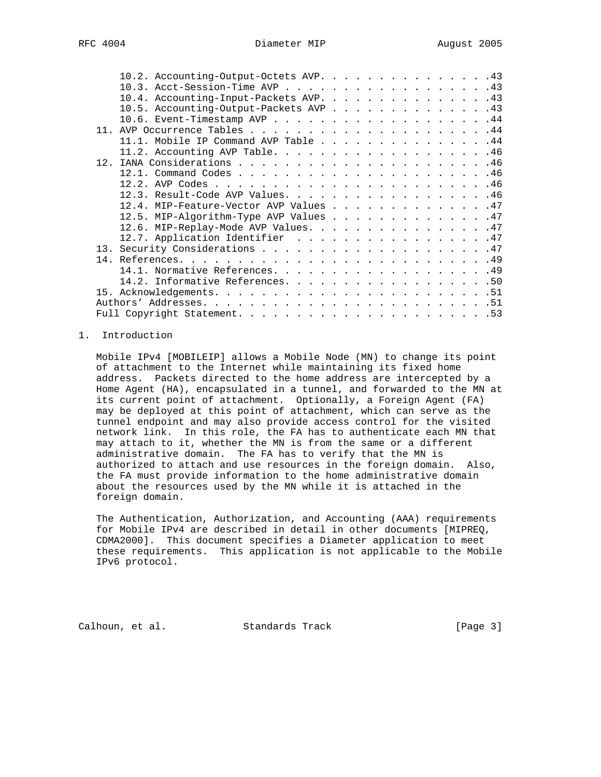| 10.2. Accounting-Output-Octets AVP. 43 |  |  |  |  |  |  |  |
|----------------------------------------|--|--|--|--|--|--|--|
| 10.3. Acct-Session-Time AVP 43         |  |  |  |  |  |  |  |
| 10.4. Accounting-Input-Packets AVP. 43 |  |  |  |  |  |  |  |
| 10.5. Accounting-Output-Packets AVP 43 |  |  |  |  |  |  |  |
| 10.6. Event-Timestamp AVP 44           |  |  |  |  |  |  |  |
|                                        |  |  |  |  |  |  |  |
| 11.1. Mobile IP Command AVP Table 44   |  |  |  |  |  |  |  |
|                                        |  |  |  |  |  |  |  |
|                                        |  |  |  |  |  |  |  |
|                                        |  |  |  |  |  |  |  |
|                                        |  |  |  |  |  |  |  |
| 12.3. Result-Code AVP Values. 46       |  |  |  |  |  |  |  |
| 12.4. MIP-Feature-Vector AVP Values 47 |  |  |  |  |  |  |  |
| 12.5. MIP-Algorithm-Type AVP Values 47 |  |  |  |  |  |  |  |
| 12.6. MIP-Replay-Mode AVP Values. 47   |  |  |  |  |  |  |  |
| 12.7. Application Identifier 47        |  |  |  |  |  |  |  |
|                                        |  |  |  |  |  |  |  |
|                                        |  |  |  |  |  |  |  |
|                                        |  |  |  |  |  |  |  |
| 14.2. Informative References. 50       |  |  |  |  |  |  |  |
|                                        |  |  |  |  |  |  |  |
|                                        |  |  |  |  |  |  |  |
|                                        |  |  |  |  |  |  |  |

# 1. Introduction

 Mobile IPv4 [MOBILEIP] allows a Mobile Node (MN) to change its point of attachment to the Internet while maintaining its fixed home address. Packets directed to the home address are intercepted by a Home Agent (HA), encapsulated in a tunnel, and forwarded to the MN at its current point of attachment. Optionally, a Foreign Agent (FA) may be deployed at this point of attachment, which can serve as the tunnel endpoint and may also provide access control for the visited network link. In this role, the FA has to authenticate each MN that may attach to it, whether the MN is from the same or a different administrative domain. The FA has to verify that the MN is authorized to attach and use resources in the foreign domain. Also, the FA must provide information to the home administrative domain about the resources used by the MN while it is attached in the foreign domain.

 The Authentication, Authorization, and Accounting (AAA) requirements for Mobile IPv4 are described in detail in other documents [MIPREQ, CDMA2000]. This document specifies a Diameter application to meet these requirements. This application is not applicable to the Mobile IPv6 protocol.

Calhoun, et al. Standards Track [Page 3]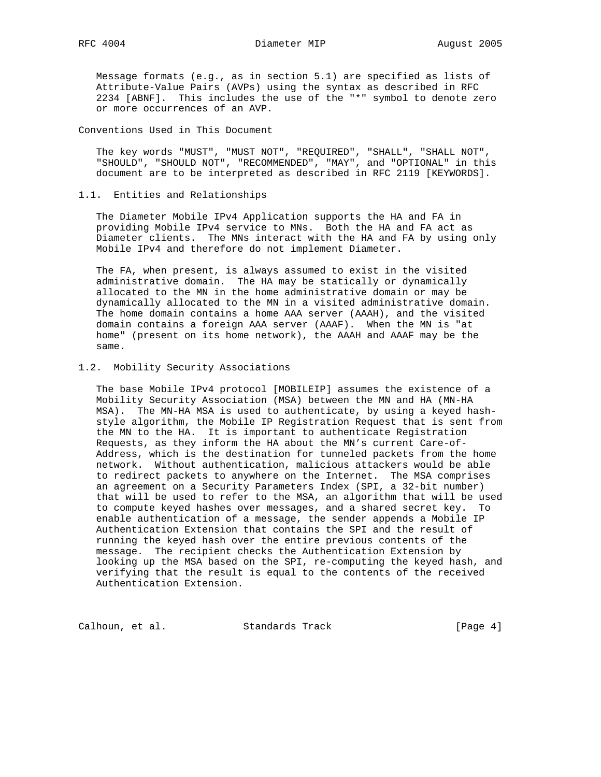Message formats (e.g., as in section 5.1) are specified as lists of Attribute-Value Pairs (AVPs) using the syntax as described in RFC 2234 [ABNF]. This includes the use of the "\*" symbol to denote zero or more occurrences of an AVP.

Conventions Used in This Document

 The key words "MUST", "MUST NOT", "REQUIRED", "SHALL", "SHALL NOT", "SHOULD", "SHOULD NOT", "RECOMMENDED", "MAY", and "OPTIONAL" in this document are to be interpreted as described in RFC 2119 [KEYWORDS].

#### 1.1. Entities and Relationships

 The Diameter Mobile IPv4 Application supports the HA and FA in providing Mobile IPv4 service to MNs. Both the HA and FA act as Diameter clients. The MNs interact with the HA and FA by using only Mobile IPv4 and therefore do not implement Diameter.

 The FA, when present, is always assumed to exist in the visited administrative domain. The HA may be statically or dynamically allocated to the MN in the home administrative domain or may be dynamically allocated to the MN in a visited administrative domain. The home domain contains a home AAA server (AAAH), and the visited domain contains a foreign AAA server (AAAF). When the MN is "at home" (present on its home network), the AAAH and AAAF may be the same.

### 1.2. Mobility Security Associations

 The base Mobile IPv4 protocol [MOBILEIP] assumes the existence of a Mobility Security Association (MSA) between the MN and HA (MN-HA MSA). The MN-HA MSA is used to authenticate, by using a keyed hash style algorithm, the Mobile IP Registration Request that is sent from the MN to the HA. It is important to authenticate Registration Requests, as they inform the HA about the MN's current Care-of- Address, which is the destination for tunneled packets from the home network. Without authentication, malicious attackers would be able to redirect packets to anywhere on the Internet. The MSA comprises an agreement on a Security Parameters Index (SPI, a 32-bit number) that will be used to refer to the MSA, an algorithm that will be used to compute keyed hashes over messages, and a shared secret key. To enable authentication of a message, the sender appends a Mobile IP Authentication Extension that contains the SPI and the result of running the keyed hash over the entire previous contents of the message. The recipient checks the Authentication Extension by looking up the MSA based on the SPI, re-computing the keyed hash, and verifying that the result is equal to the contents of the received Authentication Extension.

Calhoun, et al. Standards Track [Page 4]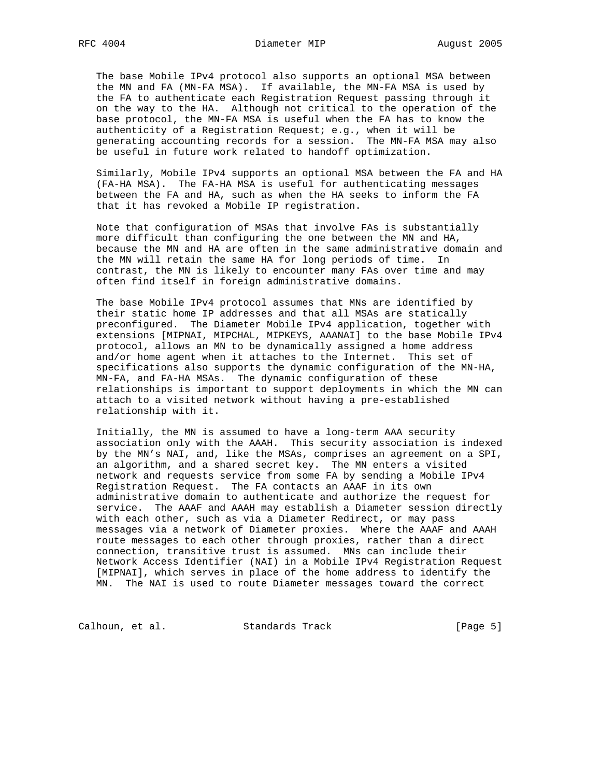The base Mobile IPv4 protocol also supports an optional MSA between the MN and FA (MN-FA MSA). If available, the MN-FA MSA is used by the FA to authenticate each Registration Request passing through it on the way to the HA. Although not critical to the operation of the base protocol, the MN-FA MSA is useful when the FA has to know the authenticity of a Registration Request; e.g., when it will be generating accounting records for a session. The MN-FA MSA may also be useful in future work related to handoff optimization.

 Similarly, Mobile IPv4 supports an optional MSA between the FA and HA (FA-HA MSA). The FA-HA MSA is useful for authenticating messages between the FA and HA, such as when the HA seeks to inform the FA that it has revoked a Mobile IP registration.

 Note that configuration of MSAs that involve FAs is substantially more difficult than configuring the one between the MN and HA, because the MN and HA are often in the same administrative domain and the MN will retain the same HA for long periods of time. In contrast, the MN is likely to encounter many FAs over time and may often find itself in foreign administrative domains.

 The base Mobile IPv4 protocol assumes that MNs are identified by their static home IP addresses and that all MSAs are statically preconfigured. The Diameter Mobile IPv4 application, together with extensions [MIPNAI, MIPCHAL, MIPKEYS, AAANAI] to the base Mobile IPv4 protocol, allows an MN to be dynamically assigned a home address and/or home agent when it attaches to the Internet. This set of specifications also supports the dynamic configuration of the MN-HA, MN-FA, and FA-HA MSAs. The dynamic configuration of these relationships is important to support deployments in which the MN can attach to a visited network without having a pre-established relationship with it.

 Initially, the MN is assumed to have a long-term AAA security association only with the AAAH. This security association is indexed by the MN's NAI, and, like the MSAs, comprises an agreement on a SPI, an algorithm, and a shared secret key. The MN enters a visited network and requests service from some FA by sending a Mobile IPv4 Registration Request. The FA contacts an AAAF in its own administrative domain to authenticate and authorize the request for service. The AAAF and AAAH may establish a Diameter session directly with each other, such as via a Diameter Redirect, or may pass messages via a network of Diameter proxies. Where the AAAF and AAAH route messages to each other through proxies, rather than a direct connection, transitive trust is assumed. MNs can include their Network Access Identifier (NAI) in a Mobile IPv4 Registration Request [MIPNAI], which serves in place of the home address to identify the MN. The NAI is used to route Diameter messages toward the correct

Calhoun, et al. Standards Track (Page 5)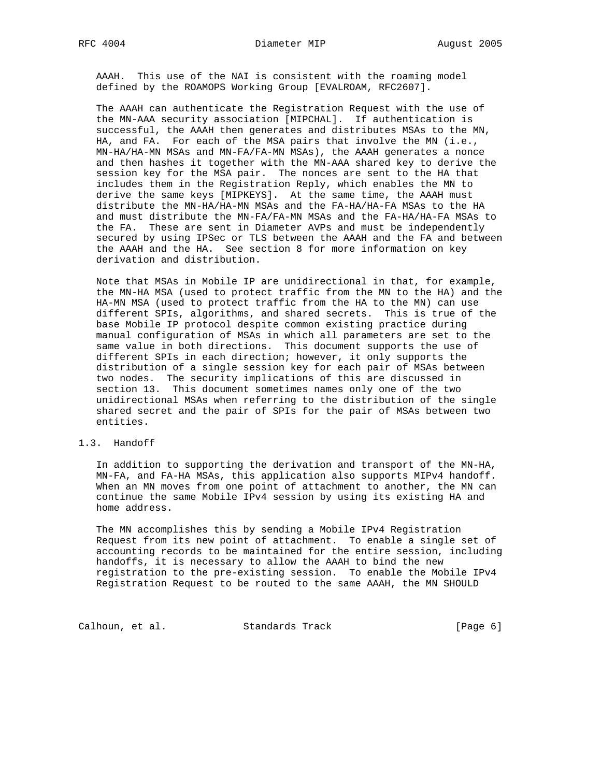AAAH. This use of the NAI is consistent with the roaming model defined by the ROAMOPS Working Group [EVALROAM, RFC2607].

 The AAAH can authenticate the Registration Request with the use of the MN-AAA security association [MIPCHAL]. If authentication is successful, the AAAH then generates and distributes MSAs to the MN, HA, and FA. For each of the MSA pairs that involve the MN (i.e., MN-HA/HA-MN MSAs and MN-FA/FA-MN MSAs), the AAAH generates a nonce and then hashes it together with the MN-AAA shared key to derive the session key for the MSA pair. The nonces are sent to the HA that includes them in the Registration Reply, which enables the MN to derive the same keys [MIPKEYS]. At the same time, the AAAH must distribute the MN-HA/HA-MN MSAs and the FA-HA/HA-FA MSAs to the HA and must distribute the MN-FA/FA-MN MSAs and the FA-HA/HA-FA MSAs to the FA. These are sent in Diameter AVPs and must be independently secured by using IPSec or TLS between the AAAH and the FA and between the AAAH and the HA. See section 8 for more information on key derivation and distribution.

 Note that MSAs in Mobile IP are unidirectional in that, for example, the MN-HA MSA (used to protect traffic from the MN to the HA) and the HA-MN MSA (used to protect traffic from the HA to the MN) can use different SPIs, algorithms, and shared secrets. This is true of the base Mobile IP protocol despite common existing practice during manual configuration of MSAs in which all parameters are set to the same value in both directions. This document supports the use of different SPIs in each direction; however, it only supports the distribution of a single session key for each pair of MSAs between two nodes. The security implications of this are discussed in section 13. This document sometimes names only one of the two unidirectional MSAs when referring to the distribution of the single shared secret and the pair of SPIs for the pair of MSAs between two entities.

# 1.3. Handoff

 In addition to supporting the derivation and transport of the MN-HA, MN-FA, and FA-HA MSAs, this application also supports MIPv4 handoff. When an MN moves from one point of attachment to another, the MN can continue the same Mobile IPv4 session by using its existing HA and home address.

 The MN accomplishes this by sending a Mobile IPv4 Registration Request from its new point of attachment. To enable a single set of accounting records to be maintained for the entire session, including handoffs, it is necessary to allow the AAAH to bind the new registration to the pre-existing session. To enable the Mobile IPv4 Registration Request to be routed to the same AAAH, the MN SHOULD

Calhoun, et al. Standards Track (Page 6)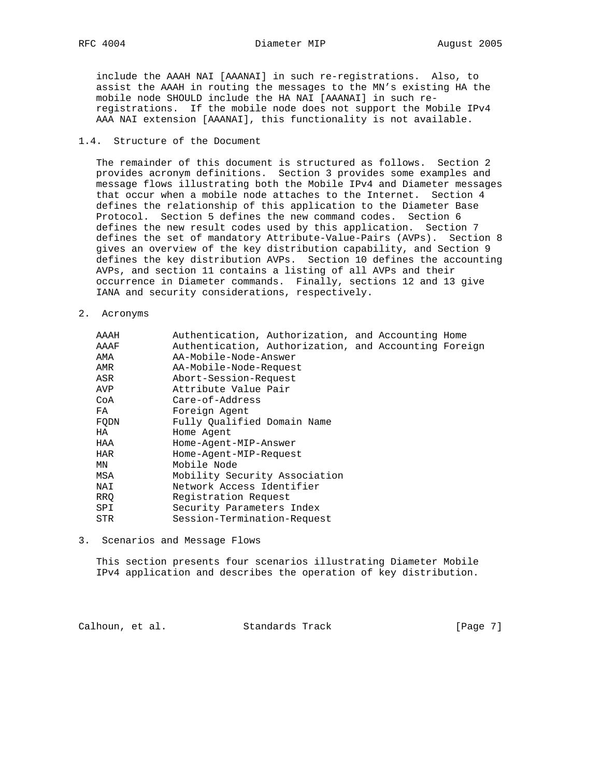RFC 4004 **Diameter MIP August 2005** 

 include the AAAH NAI [AAANAI] in such re-registrations. Also, to assist the AAAH in routing the messages to the MN's existing HA the mobile node SHOULD include the HA NAI [AAANAI] in such re registrations. If the mobile node does not support the Mobile IPv4 AAA NAI extension [AAANAI], this functionality is not available.

### 1.4. Structure of the Document

 The remainder of this document is structured as follows. Section 2 provides acronym definitions. Section 3 provides some examples and message flows illustrating both the Mobile IPv4 and Diameter messages that occur when a mobile node attaches to the Internet. Section 4 defines the relationship of this application to the Diameter Base Protocol. Section 5 defines the new command codes. Section 6 defines the new result codes used by this application. Section 7 defines the set of mandatory Attribute-Value-Pairs (AVPs). Section 8 gives an overview of the key distribution capability, and Section 9 defines the key distribution AVPs. Section 10 defines the accounting AVPs, and section 11 contains a listing of all AVPs and their occurrence in Diameter commands. Finally, sections 12 and 13 give IANA and security considerations, respectively.

2. Acronyms

| AAAH | Authentication, Authorization, and Accounting Home    |  |  |
|------|-------------------------------------------------------|--|--|
| AAAF | Authentication, Authorization, and Accounting Foreign |  |  |
| AMA  | AA-Mobile-Node-Answer                                 |  |  |
| AMR  | AA-Mobile-Node-Request                                |  |  |
| ASR  | Abort-Session-Request                                 |  |  |
| AVP  | Attribute Value Pair                                  |  |  |
| CoA  | Care-of-Address                                       |  |  |
| FA   | Foreign Agent                                         |  |  |
| FODN | Fully Oualified Domain Name                           |  |  |
| HA   | Home Agent                                            |  |  |
| HAA  | Home-Agent-MIP-Answer                                 |  |  |
| HAR  | Home-Agent-MIP-Request                                |  |  |
| ΜN   | Mobile Node                                           |  |  |
| MSA  | Mobility Security Association                         |  |  |
| NAI  | Network Access Identifier                             |  |  |
| RRO  | Registration Request                                  |  |  |
| SPI  | Security Parameters Index                             |  |  |
| STR. | Session-Termination-Request                           |  |  |
|      |                                                       |  |  |

3. Scenarios and Message Flows

 This section presents four scenarios illustrating Diameter Mobile IPv4 application and describes the operation of key distribution.

Calhoun, et al. Standards Track [Page 7]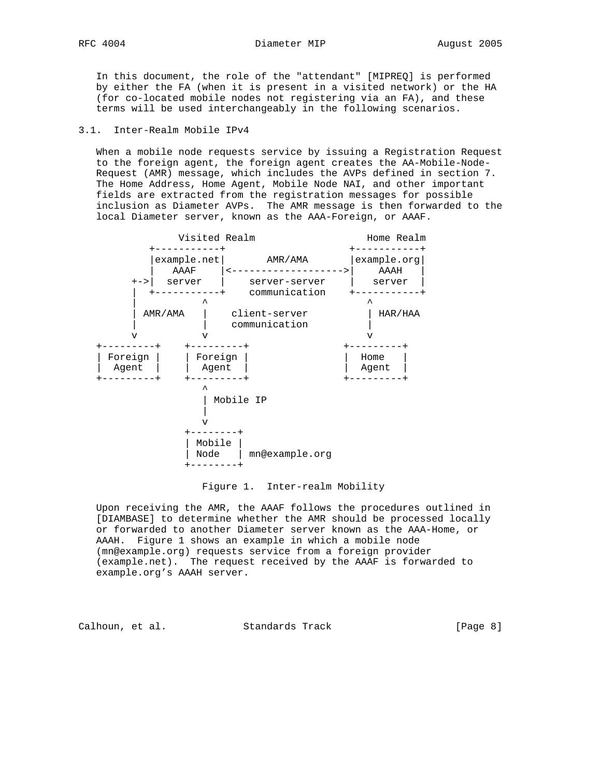In this document, the role of the "attendant" [MIPREQ] is performed by either the FA (when it is present in a visited network) or the HA (for co-located mobile nodes not registering via an FA), and these terms will be used interchangeably in the following scenarios.

## 3.1. Inter-Realm Mobile IPv4

 When a mobile node requests service by issuing a Registration Request to the foreign agent, the foreign agent creates the AA-Mobile-Node- Request (AMR) message, which includes the AVPs defined in section 7. The Home Address, Home Agent, Mobile Node NAI, and other important fields are extracted from the registration messages for possible inclusion as Diameter AVPs. The AMR message is then forwarded to the local Diameter server, known as the AAA-Foreign, or AAAF.



### Figure 1. Inter-realm Mobility

 Upon receiving the AMR, the AAAF follows the procedures outlined in [DIAMBASE] to determine whether the AMR should be processed locally or forwarded to another Diameter server known as the AAA-Home, or AAAH. Figure 1 shows an example in which a mobile node (mn@example.org) requests service from a foreign provider (example.net). The request received by the AAAF is forwarded to example.org's AAAH server.

Calhoun, et al. Standards Track [Page 8]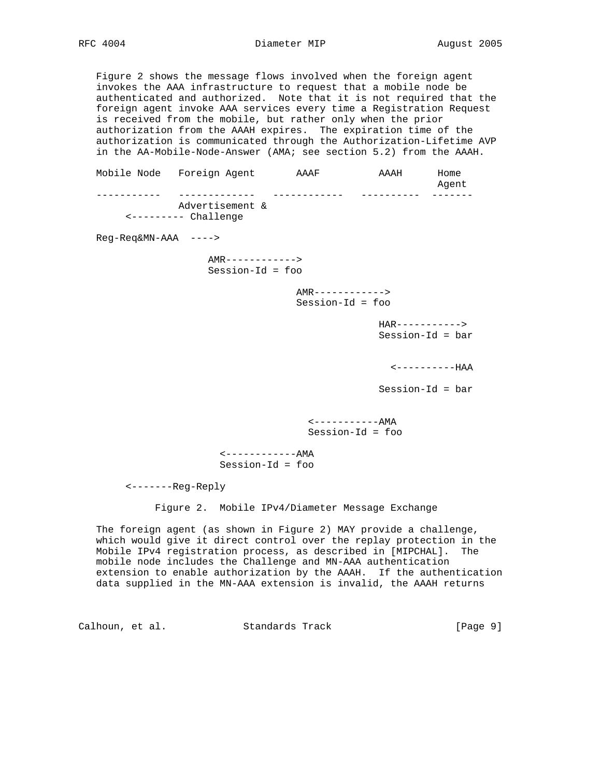Figure 2 shows the message flows involved when the foreign agent invokes the AAA infrastructure to request that a mobile node be authenticated and authorized. Note that it is not required that the foreign agent invoke AAA services every time a Registration Request is received from the mobile, but rather only when the prior authorization from the AAAH expires. The expiration time of the authorization is communicated through the Authorization-Lifetime AVP in the AA-Mobile-Node-Answer (AMA; see section 5.2) from the AAAH.

 Mobile Node Foreign Agent AAAF AAAH Home Agent and the control of the control of the control of the control of the control of the control of the control of the control of the control of the control of the control of the control of the control of the control of th ----------- ------------- ------------ ---------- ------- Advertisement & <--------- Challenge Reg-Req&MN-AAA ----> AMR------------> Session-Id = foo AMR------------> Session-Id = foo HAR-----------> Session-Id = bar <----------HAA Session-Id = bar <-----------AMA Session-Id = foo <------------AMA Session-Id = foo

<-------Reg-Reply

Figure 2. Mobile IPv4/Diameter Message Exchange

 The foreign agent (as shown in Figure 2) MAY provide a challenge, which would give it direct control over the replay protection in the Mobile IPv4 registration process, as described in [MIPCHAL]. The mobile node includes the Challenge and MN-AAA authentication extension to enable authorization by the AAAH. If the authentication data supplied in the MN-AAA extension is invalid, the AAAH returns

Calhoun, et al. Standards Track [Page 9]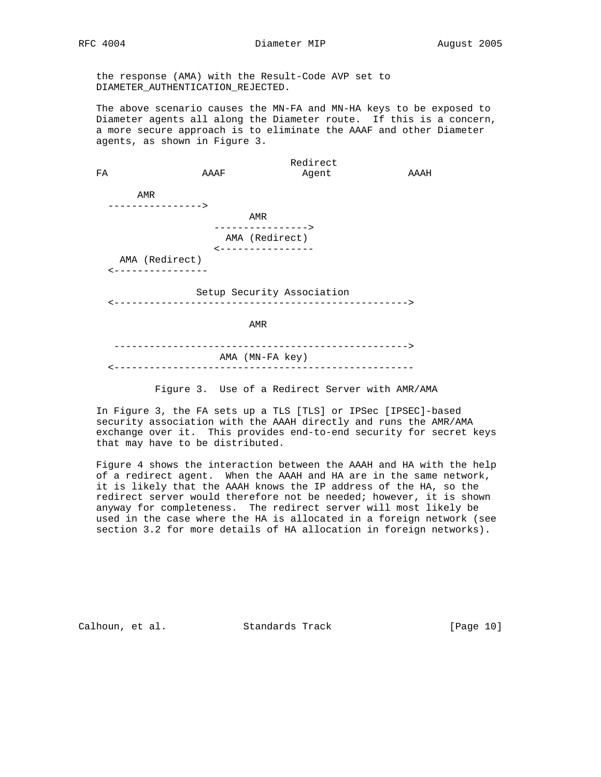the response (AMA) with the Result-Code AVP set to DIAMETER\_AUTHENTICATION\_REJECTED.

 The above scenario causes the MN-FA and MN-HA keys to be exposed to Diameter agents all along the Diameter route. If this is a concern, a more secure approach is to eliminate the AAAF and other Diameter agents, as shown in Figure 3.

 Redirect FA AAAF Agent AAAH AMR ----------------> AMR ----------------> AMA (Redirect) <---------------- AMA (Redirect) <---------------- Setup Security Association

<-------------------------------------------------->

**AMR AMR** 

 --------------------------------------------------> AMA (MN-FA key) <---------------------------------------------------

Figure 3. Use of a Redirect Server with AMR/AMA

 In Figure 3, the FA sets up a TLS [TLS] or IPSec [IPSEC]-based security association with the AAAH directly and runs the AMR/AMA exchange over it. This provides end-to-end security for secret keys that may have to be distributed.

 Figure 4 shows the interaction between the AAAH and HA with the help of a redirect agent. When the AAAH and HA are in the same network, it is likely that the AAAH knows the IP address of the HA, so the redirect server would therefore not be needed; however, it is shown anyway for completeness. The redirect server will most likely be used in the case where the HA is allocated in a foreign network (see section 3.2 for more details of HA allocation in foreign networks).

Calhoun, et al. Standards Track [Page 10]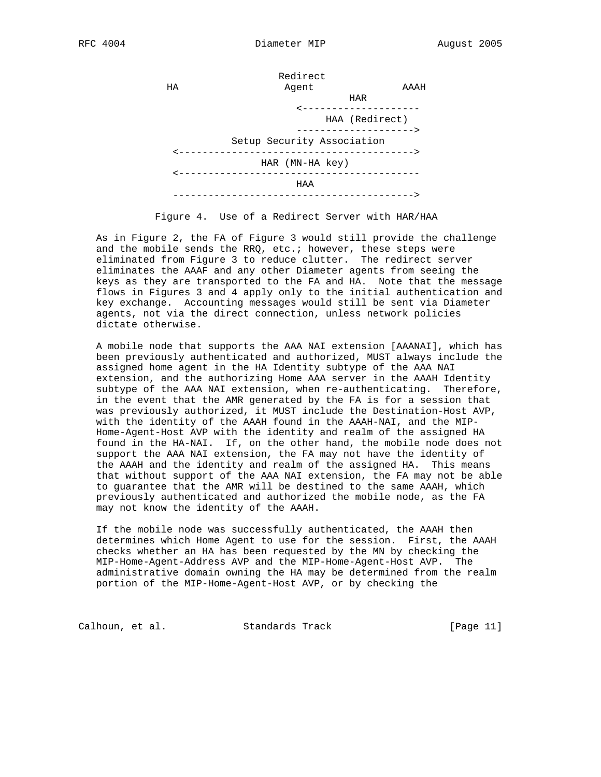

Figure 4. Use of a Redirect Server with HAR/HAA

 As in Figure 2, the FA of Figure 3 would still provide the challenge and the mobile sends the RRQ, etc.; however, these steps were eliminated from Figure 3 to reduce clutter. The redirect server eliminates the AAAF and any other Diameter agents from seeing the keys as they are transported to the FA and HA. Note that the message flows in Figures 3 and 4 apply only to the initial authentication and key exchange. Accounting messages would still be sent via Diameter agents, not via the direct connection, unless network policies dictate otherwise.

 A mobile node that supports the AAA NAI extension [AAANAI], which has been previously authenticated and authorized, MUST always include the assigned home agent in the HA Identity subtype of the AAA NAI extension, and the authorizing Home AAA server in the AAAH Identity subtype of the AAA NAI extension, when re-authenticating. Therefore, in the event that the AMR generated by the FA is for a session that was previously authorized, it MUST include the Destination-Host AVP, with the identity of the AAAH found in the AAAH-NAI, and the MIP- Home-Agent-Host AVP with the identity and realm of the assigned HA found in the HA-NAI. If, on the other hand, the mobile node does not support the AAA NAI extension, the FA may not have the identity of the AAAH and the identity and realm of the assigned HA. This means that without support of the AAA NAI extension, the FA may not be able to guarantee that the AMR will be destined to the same AAAH, which previously authenticated and authorized the mobile node, as the FA may not know the identity of the AAAH.

 If the mobile node was successfully authenticated, the AAAH then determines which Home Agent to use for the session. First, the AAAH checks whether an HA has been requested by the MN by checking the MIP-Home-Agent-Address AVP and the MIP-Home-Agent-Host AVP. The administrative domain owning the HA may be determined from the realm portion of the MIP-Home-Agent-Host AVP, or by checking the

Calhoun, et al. Standards Track [Page 11]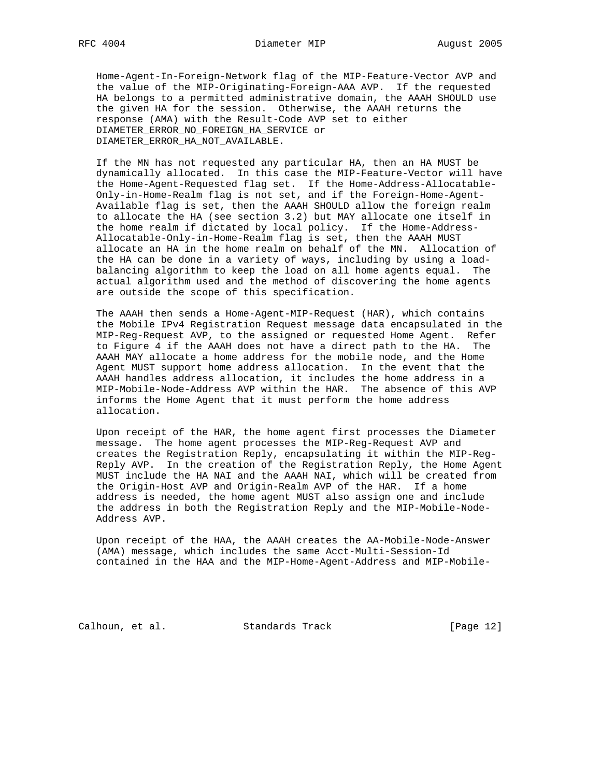Home-Agent-In-Foreign-Network flag of the MIP-Feature-Vector AVP and the value of the MIP-Originating-Foreign-AAA AVP. If the requested HA belongs to a permitted administrative domain, the AAAH SHOULD use the given HA for the session. Otherwise, the AAAH returns the response (AMA) with the Result-Code AVP set to either DIAMETER\_ERROR\_NO\_FOREIGN\_HA\_SERVICE or DIAMETER\_ERROR\_HA\_NOT\_AVAILABLE.

 If the MN has not requested any particular HA, then an HA MUST be dynamically allocated. In this case the MIP-Feature-Vector will have the Home-Agent-Requested flag set. If the Home-Address-Allocatable- Only-in-Home-Realm flag is not set, and if the Foreign-Home-Agent- Available flag is set, then the AAAH SHOULD allow the foreign realm to allocate the HA (see section 3.2) but MAY allocate one itself in the home realm if dictated by local policy. If the Home-Address- Allocatable-Only-in-Home-Realm flag is set, then the AAAH MUST allocate an HA in the home realm on behalf of the MN. Allocation of the HA can be done in a variety of ways, including by using a load balancing algorithm to keep the load on all home agents equal. The actual algorithm used and the method of discovering the home agents are outside the scope of this specification.

 The AAAH then sends a Home-Agent-MIP-Request (HAR), which contains the Mobile IPv4 Registration Request message data encapsulated in the MIP-Reg-Request AVP, to the assigned or requested Home Agent. Refer to Figure 4 if the AAAH does not have a direct path to the HA. The AAAH MAY allocate a home address for the mobile node, and the Home Agent MUST support home address allocation. In the event that the AAAH handles address allocation, it includes the home address in a MIP-Mobile-Node-Address AVP within the HAR. The absence of this AVP informs the Home Agent that it must perform the home address allocation.

 Upon receipt of the HAR, the home agent first processes the Diameter message. The home agent processes the MIP-Reg-Request AVP and creates the Registration Reply, encapsulating it within the MIP-Reg- Reply AVP. In the creation of the Registration Reply, the Home Agent MUST include the HA NAI and the AAAH NAI, which will be created from the Origin-Host AVP and Origin-Realm AVP of the HAR. If a home address is needed, the home agent MUST also assign one and include the address in both the Registration Reply and the MIP-Mobile-Node- Address AVP.

 Upon receipt of the HAA, the AAAH creates the AA-Mobile-Node-Answer (AMA) message, which includes the same Acct-Multi-Session-Id contained in the HAA and the MIP-Home-Agent-Address and MIP-Mobile-

Calhoun, et al. Standards Track [Page 12]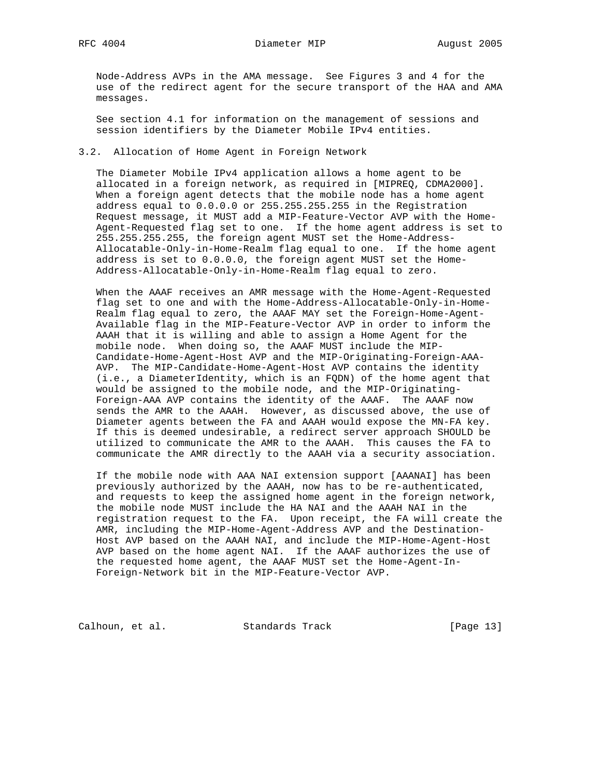Node-Address AVPs in the AMA message. See Figures 3 and 4 for the use of the redirect agent for the secure transport of the HAA and AMA messages.

 See section 4.1 for information on the management of sessions and session identifiers by the Diameter Mobile IPv4 entities.

## 3.2. Allocation of Home Agent in Foreign Network

 The Diameter Mobile IPv4 application allows a home agent to be allocated in a foreign network, as required in [MIPREQ, CDMA2000]. When a foreign agent detects that the mobile node has a home agent address equal to 0.0.0.0 or 255.255.255.255 in the Registration Request message, it MUST add a MIP-Feature-Vector AVP with the Home- Agent-Requested flag set to one. If the home agent address is set to 255.255.255.255, the foreign agent MUST set the Home-Address- Allocatable-Only-in-Home-Realm flag equal to one. If the home agent address is set to 0.0.0.0, the foreign agent MUST set the Home- Address-Allocatable-Only-in-Home-Realm flag equal to zero.

 When the AAAF receives an AMR message with the Home-Agent-Requested flag set to one and with the Home-Address-Allocatable-Only-in-Home- Realm flag equal to zero, the AAAF MAY set the Foreign-Home-Agent- Available flag in the MIP-Feature-Vector AVP in order to inform the AAAH that it is willing and able to assign a Home Agent for the mobile node. When doing so, the AAAF MUST include the MIP- Candidate-Home-Agent-Host AVP and the MIP-Originating-Foreign-AAA- AVP. The MIP-Candidate-Home-Agent-Host AVP contains the identity (i.e., a DiameterIdentity, which is an FQDN) of the home agent that would be assigned to the mobile node, and the MIP-Originating- Foreign-AAA AVP contains the identity of the AAAF. The AAAF now sends the AMR to the AAAH. However, as discussed above, the use of Diameter agents between the FA and AAAH would expose the MN-FA key. If this is deemed undesirable, a redirect server approach SHOULD be utilized to communicate the AMR to the AAAH. This causes the FA to communicate the AMR directly to the AAAH via a security association.

 If the mobile node with AAA NAI extension support [AAANAI] has been previously authorized by the AAAH, now has to be re-authenticated, and requests to keep the assigned home agent in the foreign network, the mobile node MUST include the HA NAI and the AAAH NAI in the registration request to the FA. Upon receipt, the FA will create the AMR, including the MIP-Home-Agent-Address AVP and the Destination- Host AVP based on the AAAH NAI, and include the MIP-Home-Agent-Host AVP based on the home agent NAI. If the AAAF authorizes the use of the requested home agent, the AAAF MUST set the Home-Agent-In- Foreign-Network bit in the MIP-Feature-Vector AVP.

Calhoun, et al. Standards Track [Page 13]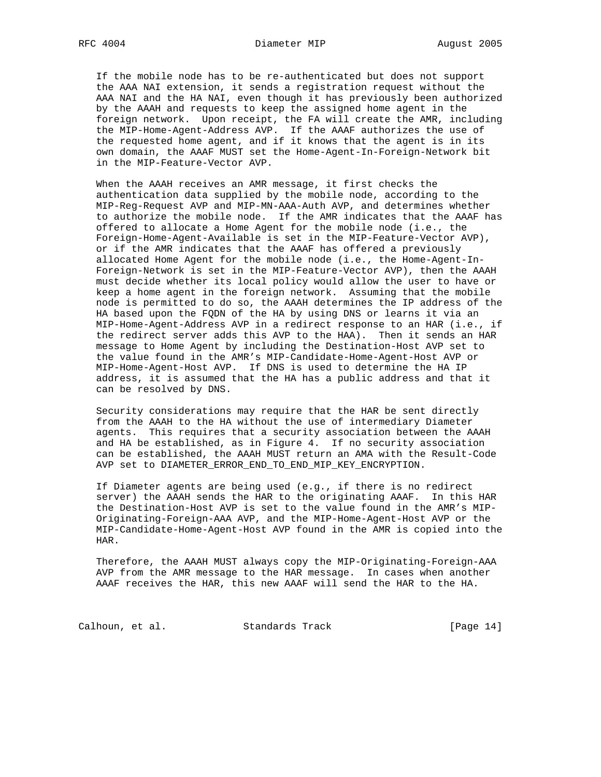If the mobile node has to be re-authenticated but does not support the AAA NAI extension, it sends a registration request without the AAA NAI and the HA NAI, even though it has previously been authorized by the AAAH and requests to keep the assigned home agent in the foreign network. Upon receipt, the FA will create the AMR, including the MIP-Home-Agent-Address AVP. If the AAAF authorizes the use of the requested home agent, and if it knows that the agent is in its own domain, the AAAF MUST set the Home-Agent-In-Foreign-Network bit in the MIP-Feature-Vector AVP.

 When the AAAH receives an AMR message, it first checks the authentication data supplied by the mobile node, according to the MIP-Reg-Request AVP and MIP-MN-AAA-Auth AVP, and determines whether to authorize the mobile node. If the AMR indicates that the AAAF has offered to allocate a Home Agent for the mobile node (i.e., the Foreign-Home-Agent-Available is set in the MIP-Feature-Vector AVP), or if the AMR indicates that the AAAF has offered a previously allocated Home Agent for the mobile node (i.e., the Home-Agent-In- Foreign-Network is set in the MIP-Feature-Vector AVP), then the AAAH must decide whether its local policy would allow the user to have or keep a home agent in the foreign network. Assuming that the mobile node is permitted to do so, the AAAH determines the IP address of the HA based upon the FQDN of the HA by using DNS or learns it via an MIP-Home-Agent-Address AVP in a redirect response to an HAR (i.e., if the redirect server adds this AVP to the HAA). Then it sends an HAR message to Home Agent by including the Destination-Host AVP set to the value found in the AMR's MIP-Candidate-Home-Agent-Host AVP or MIP-Home-Agent-Host AVP. If DNS is used to determine the HA IP address, it is assumed that the HA has a public address and that it can be resolved by DNS.

 Security considerations may require that the HAR be sent directly from the AAAH to the HA without the use of intermediary Diameter agents. This requires that a security association between the AAAH and HA be established, as in Figure 4. If no security association can be established, the AAAH MUST return an AMA with the Result-Code AVP set to DIAMETER ERROR END TO END MIP KEY ENCRYPTION.

 If Diameter agents are being used (e.g., if there is no redirect server) the AAAH sends the HAR to the originating AAAF. In this HAR the Destination-Host AVP is set to the value found in the AMR's MIP- Originating-Foreign-AAA AVP, and the MIP-Home-Agent-Host AVP or the MIP-Candidate-Home-Agent-Host AVP found in the AMR is copied into the HAR.

 Therefore, the AAAH MUST always copy the MIP-Originating-Foreign-AAA AVP from the AMR message to the HAR message. In cases when another AAAF receives the HAR, this new AAAF will send the HAR to the HA.

Calhoun, et al. Standards Track [Page 14]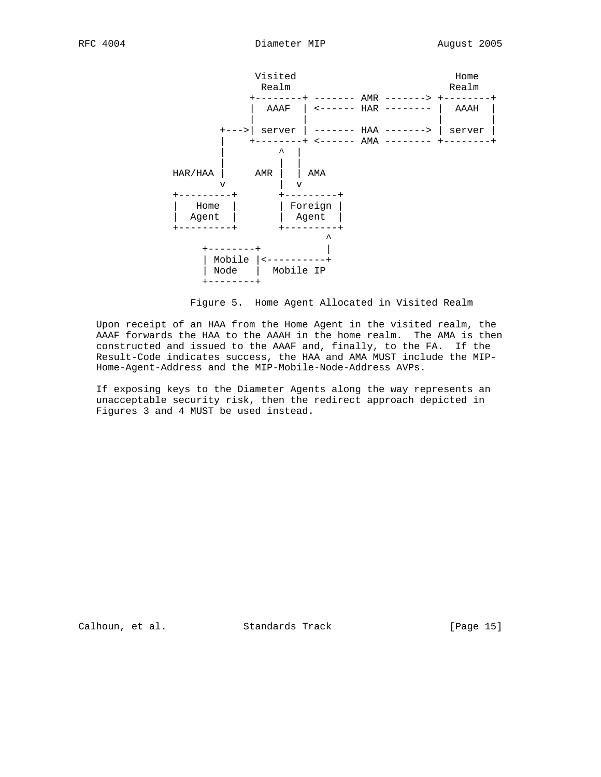

Figure 5. Home Agent Allocated in Visited Realm

 Upon receipt of an HAA from the Home Agent in the visited realm, the AAAF forwards the HAA to the AAAH in the home realm. The AMA is then constructed and issued to the AAAF and, finally, to the FA. If the Result-Code indicates success, the HAA and AMA MUST include the MIP- Home-Agent-Address and the MIP-Mobile-Node-Address AVPs.

 If exposing keys to the Diameter Agents along the way represents an unacceptable security risk, then the redirect approach depicted in Figures 3 and 4 MUST be used instead.

Calhoun, et al. Standards Track [Page 15]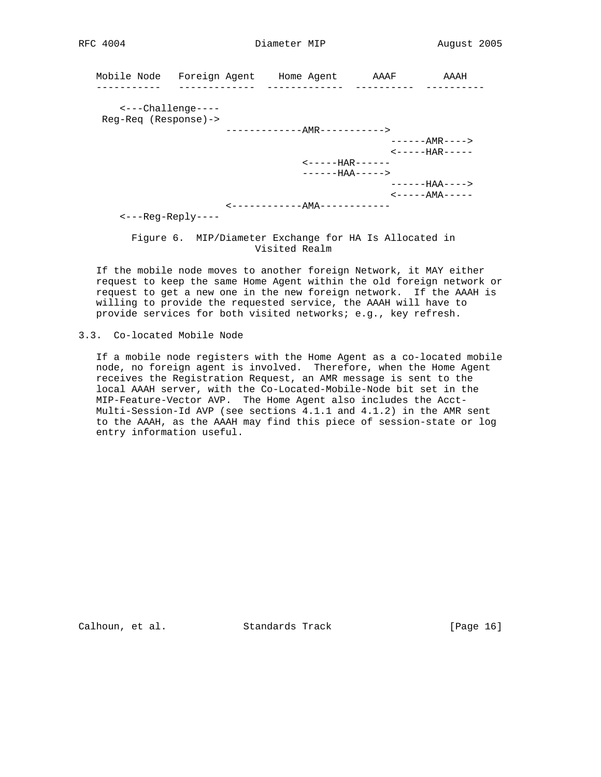|                              | Mobile Node Foreign Agent Home Agent            | AAAF | AAAH                                 |
|------------------------------|-------------------------------------------------|------|--------------------------------------|
|                              |                                                 |      |                                      |
| $\leftarrow$ --Challenge---- |                                                 |      |                                      |
| $Reg-Req (Response)$ ->      |                                                 |      |                                      |
|                              | ------------AMR----------->                     |      |                                      |
|                              |                                                 |      | ------AMR---->                       |
|                              |                                                 |      | $\leftarrow$ - - - - - HAR - - - - - |
|                              | $\leftarrow$ - - - - - $\text{HAR}$ - - - - - - |      |                                      |
|                              | $---HAA---$                                     |      |                                      |
|                              |                                                 |      | ------HAA---->                       |
|                              |                                                 |      | <-----AMA-----                       |
|                              | <u> &lt;-----------AMA------------</u>          |      |                                      |
| $\t-$ --Req-Reply----        |                                                 |      |                                      |

 Figure 6. MIP/Diameter Exchange for HA Is Allocated in Visited Realm

 If the mobile node moves to another foreign Network, it MAY either request to keep the same Home Agent within the old foreign network or request to get a new one in the new foreign network. If the AAAH is willing to provide the requested service, the AAAH will have to provide services for both visited networks; e.g., key refresh.

 If a mobile node registers with the Home Agent as a co-located mobile node, no foreign agent is involved. Therefore, when the Home Agent receives the Registration Request, an AMR message is sent to the local AAAH server, with the Co-Located-Mobile-Node bit set in the MIP-Feature-Vector AVP. The Home Agent also includes the Acct- Multi-Session-Id AVP (see sections 4.1.1 and 4.1.2) in the AMR sent to the AAAH, as the AAAH may find this piece of session-state or log entry information useful.

Calhoun, et al. Standards Track [Page 16]

<sup>3.3.</sup> Co-located Mobile Node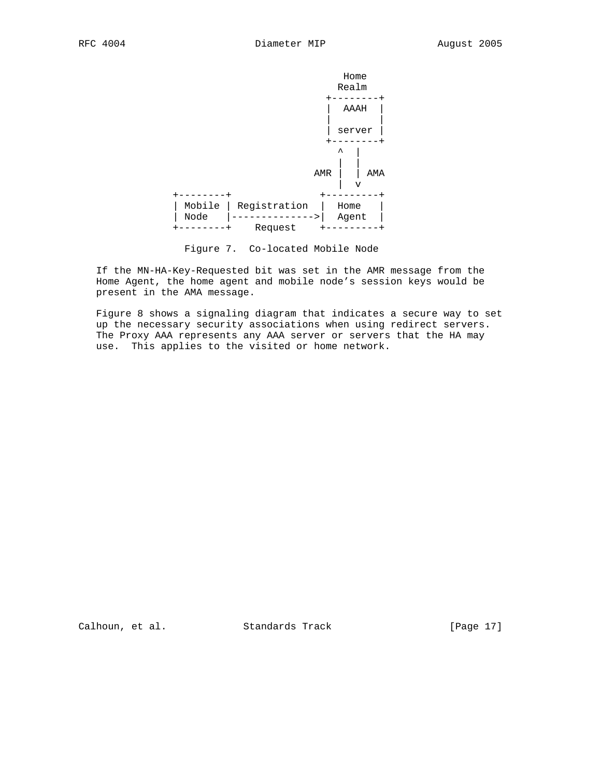

Figure 7. Co-located Mobile Node

 If the MN-HA-Key-Requested bit was set in the AMR message from the Home Agent, the home agent and mobile node's session keys would be present in the AMA message.

 Figure 8 shows a signaling diagram that indicates a secure way to set up the necessary security associations when using redirect servers. The Proxy AAA represents any AAA server or servers that the HA may use. This applies to the visited or home network.

Calhoun, et al. Standards Track [Page 17]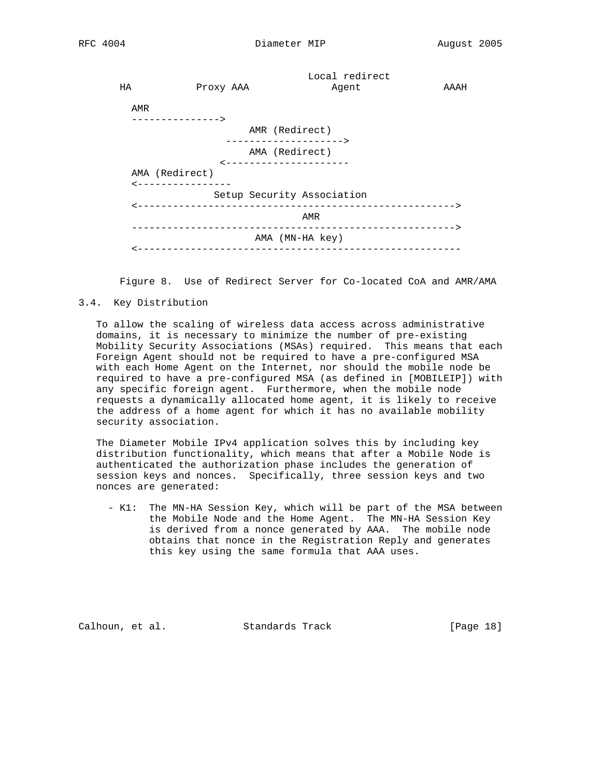|     |                               | Local redirect                          |      |
|-----|-------------------------------|-----------------------------------------|------|
| НA  | Proxy AAA                     | Agent                                   | AAAH |
|     |                               |                                         |      |
| AMR | . - - - - - - - - - - - - - > |                                         |      |
|     |                               |                                         |      |
|     |                               | AMR (Redirect)<br>--------------------> |      |
|     |                               | AMA (Redirect)                          |      |
|     |                               | ---------------------                   |      |
|     | AMA (Redirect)                |                                         |      |
|     | <----------------             |                                         |      |
|     |                               | Setup Security Association              |      |
|     |                               |                                         |      |
|     |                               | AMR                                     |      |
|     |                               |                                         |      |
|     |                               | AMA (MN-HA key)                         |      |
|     |                               |                                         |      |
|     |                               |                                         |      |

Figure 8. Use of Redirect Server for Co-located CoA and AMR/AMA

### 3.4. Key Distribution

 To allow the scaling of wireless data access across administrative domains, it is necessary to minimize the number of pre-existing Mobility Security Associations (MSAs) required. This means that each Foreign Agent should not be required to have a pre-configured MSA with each Home Agent on the Internet, nor should the mobile node be required to have a pre-configured MSA (as defined in [MOBILEIP]) with any specific foreign agent. Furthermore, when the mobile node requests a dynamically allocated home agent, it is likely to receive the address of a home agent for which it has no available mobility security association.

 The Diameter Mobile IPv4 application solves this by including key distribution functionality, which means that after a Mobile Node is authenticated the authorization phase includes the generation of session keys and nonces. Specifically, three session keys and two nonces are generated:

 - K1: The MN-HA Session Key, which will be part of the MSA between the Mobile Node and the Home Agent. The MN-HA Session Key is derived from a nonce generated by AAA. The mobile node obtains that nonce in the Registration Reply and generates this key using the same formula that AAA uses.

Calhoun, et al. Standards Track [Page 18]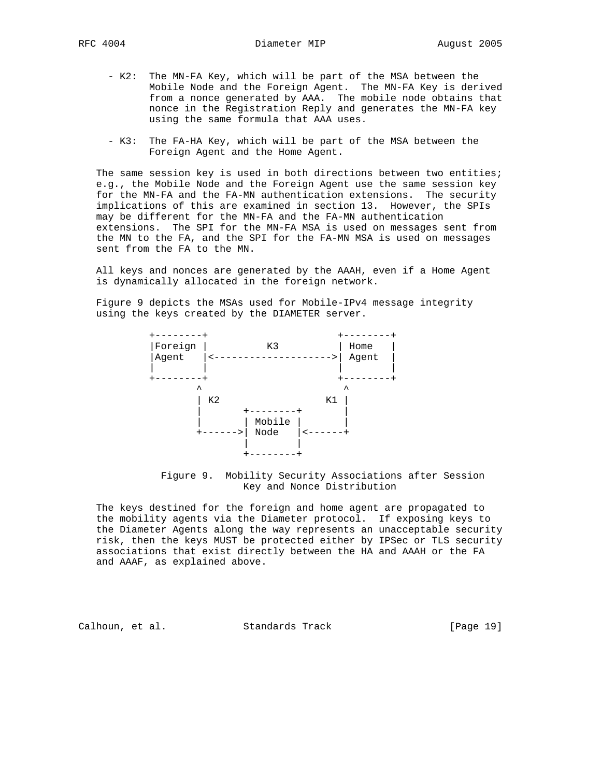- K2: The MN-FA Key, which will be part of the MSA between the Mobile Node and the Foreign Agent. The MN-FA Key is derived from a nonce generated by AAA. The mobile node obtains that nonce in the Registration Reply and generates the MN-FA key using the same formula that AAA uses.
	- K3: The FA-HA Key, which will be part of the MSA between the Foreign Agent and the Home Agent.

 The same session key is used in both directions between two entities; e.g., the Mobile Node and the Foreign Agent use the same session key for the MN-FA and the FA-MN authentication extensions. The security implications of this are examined in section 13. However, the SPIs may be different for the MN-FA and the FA-MN authentication extensions. The SPI for the MN-FA MSA is used on messages sent from the MN to the FA, and the SPI for the FA-MN MSA is used on messages sent from the FA to the MN.

 All keys and nonces are generated by the AAAH, even if a Home Agent is dynamically allocated in the foreign network.

 Figure 9 depicts the MSAs used for Mobile-IPv4 message integrity using the keys created by the DIAMETER server.



 Figure 9. Mobility Security Associations after Session Key and Nonce Distribution

 The keys destined for the foreign and home agent are propagated to the mobility agents via the Diameter protocol. If exposing keys to the Diameter Agents along the way represents an unacceptable security risk, then the keys MUST be protected either by IPSec or TLS security associations that exist directly between the HA and AAAH or the FA and AAAF, as explained above.

Calhoun, et al. Standards Track [Page 19]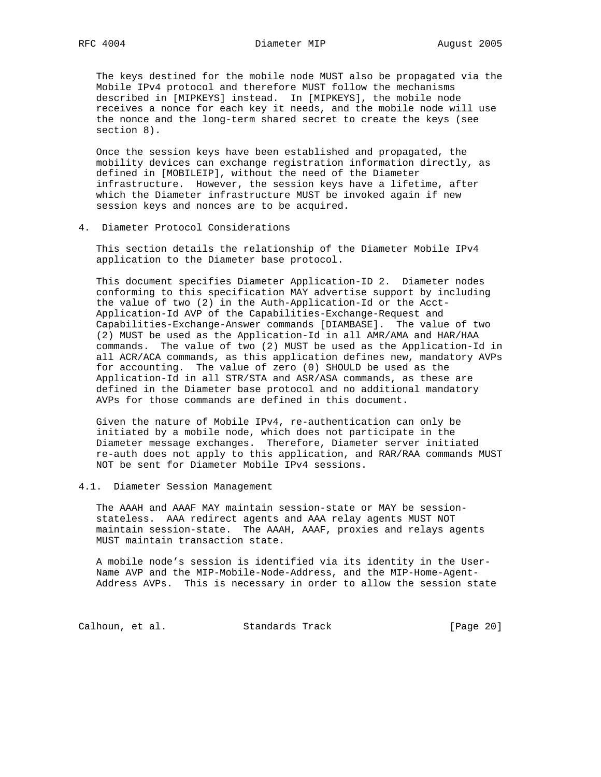The keys destined for the mobile node MUST also be propagated via the Mobile IPv4 protocol and therefore MUST follow the mechanisms described in [MIPKEYS] instead. In [MIPKEYS], the mobile node receives a nonce for each key it needs, and the mobile node will use the nonce and the long-term shared secret to create the keys (see section 8).

 Once the session keys have been established and propagated, the mobility devices can exchange registration information directly, as defined in [MOBILEIP], without the need of the Diameter infrastructure. However, the session keys have a lifetime, after which the Diameter infrastructure MUST be invoked again if new session keys and nonces are to be acquired.

4. Diameter Protocol Considerations

 This section details the relationship of the Diameter Mobile IPv4 application to the Diameter base protocol.

 This document specifies Diameter Application-ID 2. Diameter nodes conforming to this specification MAY advertise support by including the value of two (2) in the Auth-Application-Id or the Acct- Application-Id AVP of the Capabilities-Exchange-Request and Capabilities-Exchange-Answer commands [DIAMBASE]. The value of two (2) MUST be used as the Application-Id in all AMR/AMA and HAR/HAA commands. The value of two (2) MUST be used as the Application-Id in all ACR/ACA commands, as this application defines new, mandatory AVPs for accounting. The value of zero (0) SHOULD be used as the Application-Id in all STR/STA and ASR/ASA commands, as these are defined in the Diameter base protocol and no additional mandatory AVPs for those commands are defined in this document.

 Given the nature of Mobile IPv4, re-authentication can only be initiated by a mobile node, which does not participate in the Diameter message exchanges. Therefore, Diameter server initiated re-auth does not apply to this application, and RAR/RAA commands MUST NOT be sent for Diameter Mobile IPv4 sessions.

4.1. Diameter Session Management

 The AAAH and AAAF MAY maintain session-state or MAY be session stateless. AAA redirect agents and AAA relay agents MUST NOT maintain session-state. The AAAH, AAAF, proxies and relays agents MUST maintain transaction state.

 A mobile node's session is identified via its identity in the User- Name AVP and the MIP-Mobile-Node-Address, and the MIP-Home-Agent- Address AVPs. This is necessary in order to allow the session state

Calhoun, et al. Standards Track [Page 20]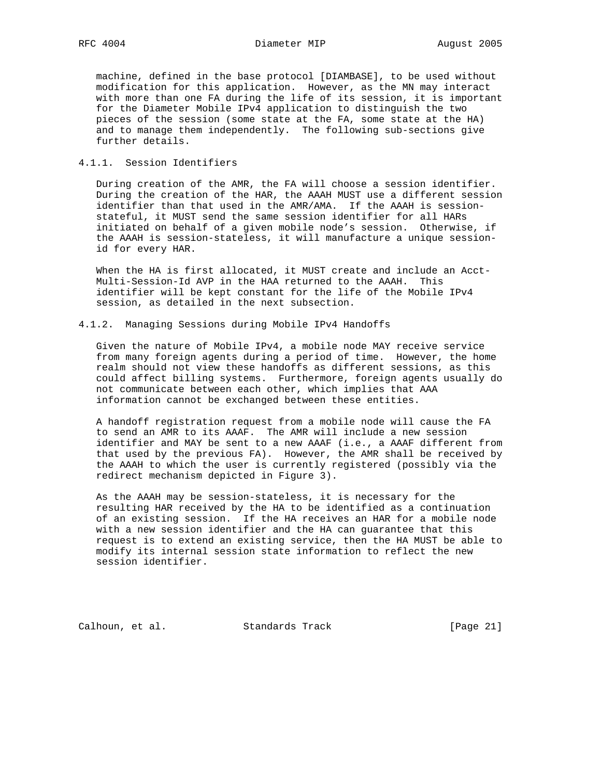machine, defined in the base protocol [DIAMBASE], to be used without modification for this application. However, as the MN may interact with more than one FA during the life of its session, it is important for the Diameter Mobile IPv4 application to distinguish the two pieces of the session (some state at the FA, some state at the HA) and to manage them independently. The following sub-sections give further details.

### 4.1.1. Session Identifiers

 During creation of the AMR, the FA will choose a session identifier. During the creation of the HAR, the AAAH MUST use a different session identifier than that used in the AMR/AMA. If the AAAH is session stateful, it MUST send the same session identifier for all HARs initiated on behalf of a given mobile node's session. Otherwise, if the AAAH is session-stateless, it will manufacture a unique session id for every HAR.

 When the HA is first allocated, it MUST create and include an Acct- Multi-Session-Id AVP in the HAA returned to the AAAH. This identifier will be kept constant for the life of the Mobile IPv4 session, as detailed in the next subsection.

### 4.1.2. Managing Sessions during Mobile IPv4 Handoffs

 Given the nature of Mobile IPv4, a mobile node MAY receive service from many foreign agents during a period of time. However, the home realm should not view these handoffs as different sessions, as this could affect billing systems. Furthermore, foreign agents usually do not communicate between each other, which implies that AAA information cannot be exchanged between these entities.

 A handoff registration request from a mobile node will cause the FA to send an AMR to its AAAF. The AMR will include a new session identifier and MAY be sent to a new AAAF (i.e., a AAAF different from that used by the previous FA). However, the AMR shall be received by the AAAH to which the user is currently registered (possibly via the redirect mechanism depicted in Figure 3).

 As the AAAH may be session-stateless, it is necessary for the resulting HAR received by the HA to be identified as a continuation of an existing session. If the HA receives an HAR for a mobile node with a new session identifier and the HA can guarantee that this request is to extend an existing service, then the HA MUST be able to modify its internal session state information to reflect the new session identifier.

Calhoun, et al. Standards Track [Page 21]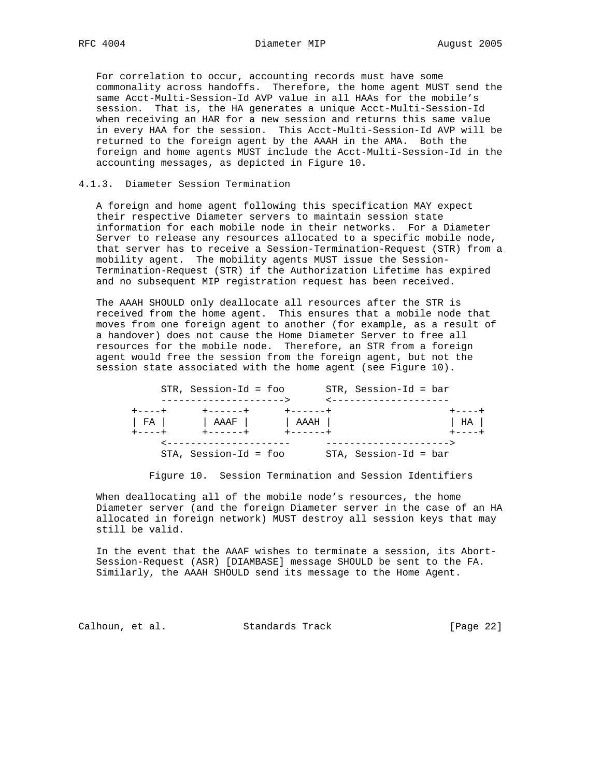For correlation to occur, accounting records must have some commonality across handoffs. Therefore, the home agent MUST send the same Acct-Multi-Session-Id AVP value in all HAAs for the mobile's session. That is, the HA generates a unique Acct-Multi-Session-Id when receiving an HAR for a new session and returns this same value in every HAA for the session. This Acct-Multi-Session-Id AVP will be returned to the foreign agent by the AAAH in the AMA. Both the foreign and home agents MUST include the Acct-Multi-Session-Id in the accounting messages, as depicted in Figure 10.

### 4.1.3. Diameter Session Termination

 A foreign and home agent following this specification MAY expect their respective Diameter servers to maintain session state information for each mobile node in their networks. For a Diameter Server to release any resources allocated to a specific mobile node, that server has to receive a Session-Termination-Request (STR) from a mobility agent. The mobility agents MUST issue the Session- Termination-Request (STR) if the Authorization Lifetime has expired and no subsequent MIP registration request has been received.

 The AAAH SHOULD only deallocate all resources after the STR is received from the home agent. This ensures that a mobile node that moves from one foreign agent to another (for example, as a result of a handover) does not cause the Home Diameter Server to free all resources for the mobile node. Therefore, an STR from a foreign agent would free the session from the foreign agent, but not the session state associated with the home agent (see Figure 10).

|               | STR, Session-Id = foo                |                 | $STR, Session-Id = bar$ |               |
|---------------|--------------------------------------|-----------------|-------------------------|---------------|
|               | --------------------->               |                 | _____________________   |               |
| キーーーーキ        | <b>+------+</b>                      | $+ - - - - - +$ |                         | $+ - - - - +$ |
|               | FA             AAAF             AAAH |                 |                         | HA            |
| $+ - - - - +$ | +------+                             | + - - - - - - + |                         | $+ - - - - +$ |
|               | ---------------------                |                 | _______________________ |               |
|               | $STA$ , Session-Id = foo             |                 | STA, Session-Id = bar   |               |

Figure 10. Session Termination and Session Identifiers

 When deallocating all of the mobile node's resources, the home Diameter server (and the foreign Diameter server in the case of an HA allocated in foreign network) MUST destroy all session keys that may still be valid.

 In the event that the AAAF wishes to terminate a session, its Abort- Session-Request (ASR) [DIAMBASE] message SHOULD be sent to the FA. Similarly, the AAAH SHOULD send its message to the Home Agent.

Calhoun, et al. Standards Track [Page 22]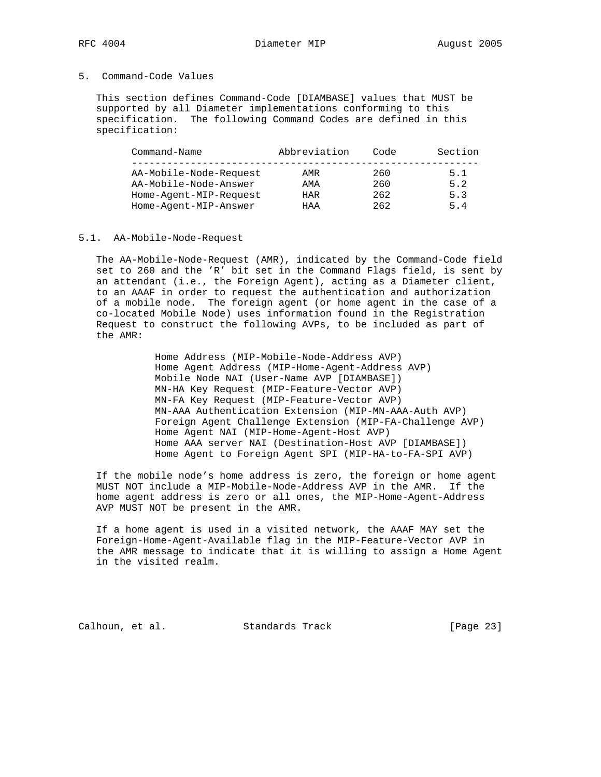### 5. Command-Code Values

 This section defines Command-Code [DIAMBASE] values that MUST be supported by all Diameter implementations conforming to this specification. The following Command Codes are defined in this specification:

| Command-Name           | Abbreviation | Code | Section |
|------------------------|--------------|------|---------|
| AA-Mobile-Node-Request | AMR          | 260  | 5.1     |
| AA-Mobile-Node-Answer  | AMA          | 260  | 5.2     |
| Home-Agent-MIP-Request | HAR          | 262  | 5.3     |
| Home-Agent-MIP-Answer  | HAA          | 262  | 5.4     |

#### 5.1. AA-Mobile-Node-Request

 The AA-Mobile-Node-Request (AMR), indicated by the Command-Code field set to 260 and the 'R' bit set in the Command Flags field, is sent by an attendant (i.e., the Foreign Agent), acting as a Diameter client, to an AAAF in order to request the authentication and authorization of a mobile node. The foreign agent (or home agent in the case of a co-located Mobile Node) uses information found in the Registration Request to construct the following AVPs, to be included as part of the AMR:

> Home Address (MIP-Mobile-Node-Address AVP) Home Agent Address (MIP-Home-Agent-Address AVP) Mobile Node NAI (User-Name AVP [DIAMBASE]) MN-HA Key Request (MIP-Feature-Vector AVP) MN-FA Key Request (MIP-Feature-Vector AVP) MN-AAA Authentication Extension (MIP-MN-AAA-Auth AVP) Foreign Agent Challenge Extension (MIP-FA-Challenge AVP) Home Agent NAI (MIP-Home-Agent-Host AVP) Home AAA server NAI (Destination-Host AVP [DIAMBASE]) Home Agent to Foreign Agent SPI (MIP-HA-to-FA-SPI AVP)

 If the mobile node's home address is zero, the foreign or home agent MUST NOT include a MIP-Mobile-Node-Address AVP in the AMR. If the home agent address is zero or all ones, the MIP-Home-Agent-Address AVP MUST NOT be present in the AMR.

 If a home agent is used in a visited network, the AAAF MAY set the Foreign-Home-Agent-Available flag in the MIP-Feature-Vector AVP in the AMR message to indicate that it is willing to assign a Home Agent in the visited realm.

Calhoun, et al. Standards Track [Page 23]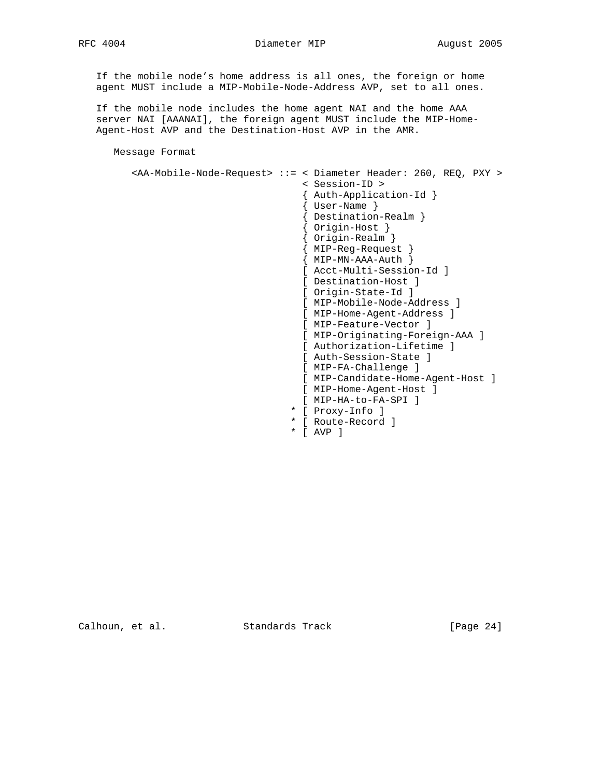RFC 4004 Diameter MIP August 2005

 If the mobile node's home address is all ones, the foreign or home agent MUST include a MIP-Mobile-Node-Address AVP, set to all ones.

 If the mobile node includes the home agent NAI and the home AAA server NAI [AAANAI], the foreign agent MUST include the MIP-Home- Agent-Host AVP and the Destination-Host AVP in the AMR.

Message Format

```
 <AA-Mobile-Node-Request> ::= < Diameter Header: 260, REQ, PXY >
                                < Session-ID >
                                { Auth-Application-Id }
                                { User-Name }
 { Destination-Realm }
 { Origin-Host }
                                { Origin-Realm }
 { MIP-Reg-Request }
\{ MIP-MN-AAA-Auth \} [ Acct-Multi-Session-Id ]
                                [ Destination-Host ]
                                [ Origin-State-Id ]
                                [ MIP-Mobile-Node-Address ]
                                [ MIP-Home-Agent-Address ]
                                [ MIP-Feature-Vector ]
                                [ MIP-Originating-Foreign-AAA ]
                                [ Authorization-Lifetime ]
                                [ Auth-Session-State ]
                                [ MIP-FA-Challenge ]
                                [ MIP-Candidate-Home-Agent-Host ]
                                [ MIP-Home-Agent-Host ]
                                [ MIP-HA-to-FA-SPI ]
                               * [ Proxy-Info ]
                               * [ Route-Record ]
                               * [ AVP ]
```
Calhoun, et al. Standards Track [Page 24]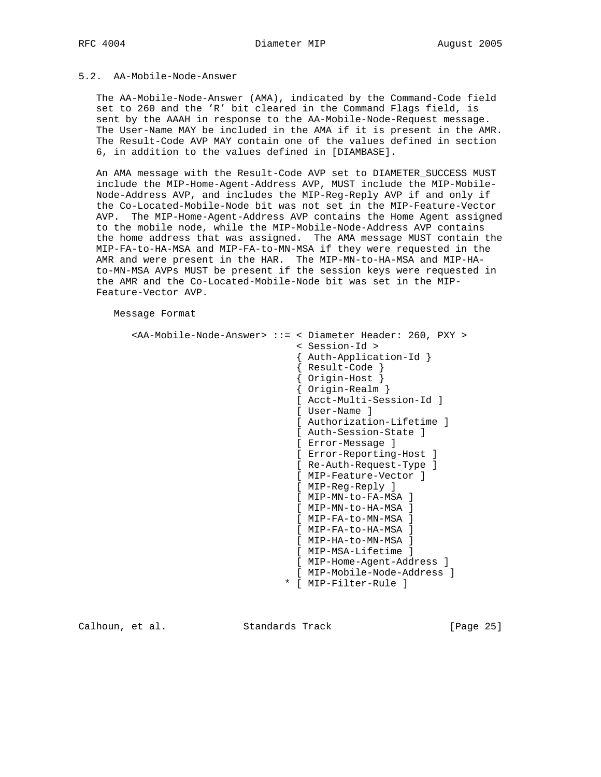## 5.2. AA-Mobile-Node-Answer

 The AA-Mobile-Node-Answer (AMA), indicated by the Command-Code field set to 260 and the 'R' bit cleared in the Command Flags field, is sent by the AAAH in response to the AA-Mobile-Node-Request message. The User-Name MAY be included in the AMA if it is present in the AMR. The Result-Code AVP MAY contain one of the values defined in section 6, in addition to the values defined in [DIAMBASE].

 An AMA message with the Result-Code AVP set to DIAMETER\_SUCCESS MUST include the MIP-Home-Agent-Address AVP, MUST include the MIP-Mobile- Node-Address AVP, and includes the MIP-Reg-Reply AVP if and only if the Co-Located-Mobile-Node bit was not set in the MIP-Feature-Vector AVP. The MIP-Home-Agent-Address AVP contains the Home Agent assigned to the mobile node, while the MIP-Mobile-Node-Address AVP contains the home address that was assigned. The AMA message MUST contain the MIP-FA-to-HA-MSA and MIP-FA-to-MN-MSA if they were requested in the AMR and were present in the HAR. The MIP-MN-to-HA-MSA and MIP-HA to-MN-MSA AVPs MUST be present if the session keys were requested in the AMR and the Co-Located-Mobile-Node bit was set in the MIP- Feature-Vector AVP.

Message Format

```
 <AA-Mobile-Node-Answer> ::= < Diameter Header: 260, PXY >
                                   < Session-Id >
                                   { Auth-Application-Id }
                                   { Result-Code }
 { Origin-Host }
 { Origin-Realm }
                                   [ Acct-Multi-Session-Id ]
                                   [ User-Name ]
                                   [ Authorization-Lifetime ]
                                   [ Auth-Session-State ]
                                   [ Error-Message ]
                                   [ Error-Reporting-Host ]
                                   [ Re-Auth-Request-Type ]
                                   [ MIP-Feature-Vector ]
                                   [ MIP-Reg-Reply ]
                                   [ MIP-MN-to-FA-MSA ]
                                   [ MIP-MN-to-HA-MSA ]
                                   [ MIP-FA-to-MN-MSA ]
                                   [ MIP-FA-to-HA-MSA ]
                                   [ MIP-HA-to-MN-MSA ]
                                   [ MIP-MSA-Lifetime ]
                                   [ MIP-Home-Agent-Address ]
                                   [ MIP-Mobile-Node-Address ]
                                 * [ MIP-Filter-Rule ]
```
Calhoun, et al. Standards Track [Page 25]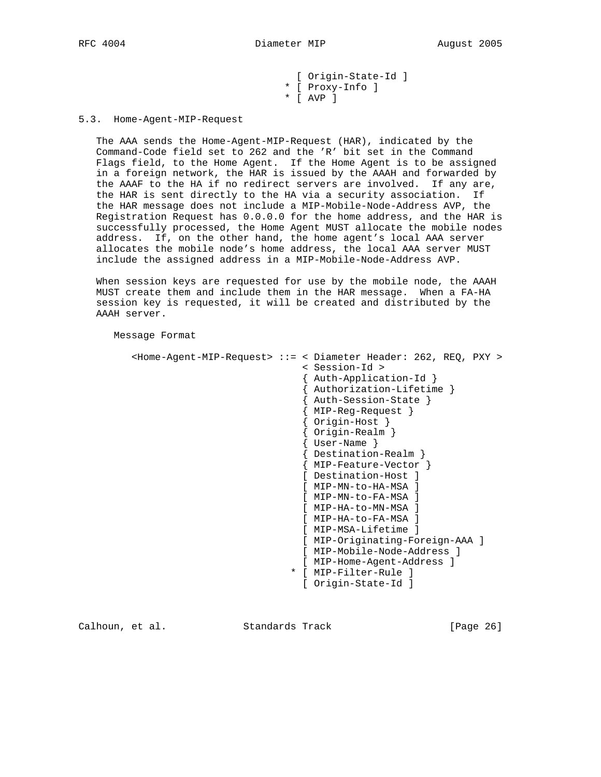[ Origin-State-Id ] \* [ Proxy-Info ] \* [ AVP ]

5.3. Home-Agent-MIP-Request

 The AAA sends the Home-Agent-MIP-Request (HAR), indicated by the Command-Code field set to 262 and the 'R' bit set in the Command Flags field, to the Home Agent. If the Home Agent is to be assigned in a foreign network, the HAR is issued by the AAAH and forwarded by the AAAF to the HA if no redirect servers are involved. If any are, the HAR is sent directly to the HA via a security association. If the HAR message does not include a MIP-Mobile-Node-Address AVP, the Registration Request has 0.0.0.0 for the home address, and the HAR is successfully processed, the Home Agent MUST allocate the mobile nodes address. If, on the other hand, the home agent's local AAA server allocates the mobile node's home address, the local AAA server MUST include the assigned address in a MIP-Mobile-Node-Address AVP.

 When session keys are requested for use by the mobile node, the AAAH MUST create them and include them in the HAR message. When a FA-HA session key is requested, it will be created and distributed by the AAAH server.

Message Format

```
 <Home-Agent-MIP-Request> ::= < Diameter Header: 262, REQ, PXY >
                               < Session-Id >
                               { Auth-Application-Id }
                               { Authorization-Lifetime }
                               { Auth-Session-State }
                               { MIP-Reg-Request }
                               { Origin-Host }
                               { Origin-Realm }
                                { User-Name }
                               { Destination-Realm }
                               { MIP-Feature-Vector }
                               [ Destination-Host ]
                               [ MIP-MN-to-HA-MSA ]
                               [ MIP-MN-to-FA-MSA ]
                               [ MIP-HA-to-MN-MSA ]
                               [ MIP-HA-to-FA-MSA ]
                               [ MIP-MSA-Lifetime ]
                               [ MIP-Originating-Foreign-AAA ]
                               [ MIP-Mobile-Node-Address ]
                               [ MIP-Home-Agent-Address ]
                             * [ MIP-Filter-Rule ]
                               [ Origin-State-Id ]
```
Calhoun, et al. Standards Track [Page 26]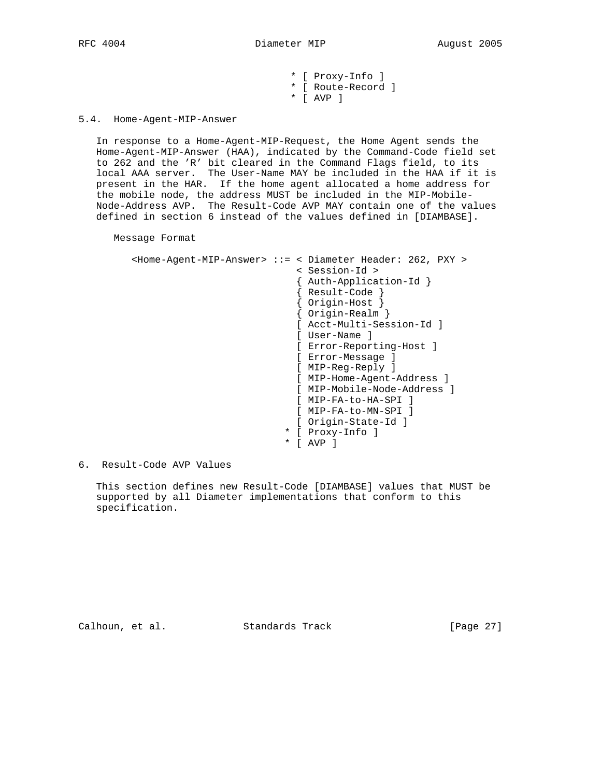\* [ Proxy-Info ] \* [ Route-Record ] \* [ AVP ]

5.4. Home-Agent-MIP-Answer

 In response to a Home-Agent-MIP-Request, the Home Agent sends the Home-Agent-MIP-Answer (HAA), indicated by the Command-Code field set to 262 and the 'R' bit cleared in the Command Flags field, to its local AAA server. The User-Name MAY be included in the HAA if it is present in the HAR. If the home agent allocated a home address for the mobile node, the address MUST be included in the MIP-Mobile- Node-Address AVP. The Result-Code AVP MAY contain one of the values defined in section 6 instead of the values defined in [DIAMBASE].

Message Format

|        | <home-agent-mip-answer> ::= &lt; Diameter Header: 262, PXY &gt;</home-agent-mip-answer> |
|--------|-----------------------------------------------------------------------------------------|
|        | < Session-Id >                                                                          |
|        | Auth-Application-Id }                                                                   |
|        | Result-Code                                                                             |
|        | Origin-Host                                                                             |
|        | Origin-Realm                                                                            |
|        | Acct-Multi-Session-Id 1                                                                 |
|        | User-Name                                                                               |
|        | Error-Reporting-Host ]                                                                  |
|        | Error-Messaqe                                                                           |
|        | MIP-Reg-Reply ]                                                                         |
|        | MIP-Home-Agent-Address ]                                                                |
|        | MIP-Mobile-Node-Address l                                                               |
|        | MIP-FA-to-HA-SPI                                                                        |
|        | MIP-FA-to-MN-SPI 1                                                                      |
|        | Origin-State-Id ]                                                                       |
| $\ast$ | Proxy-Info ]                                                                            |
| *      | AVP                                                                                     |

6. Result-Code AVP Values

 This section defines new Result-Code [DIAMBASE] values that MUST be supported by all Diameter implementations that conform to this specification.

Calhoun, et al. Standards Track [Page 27]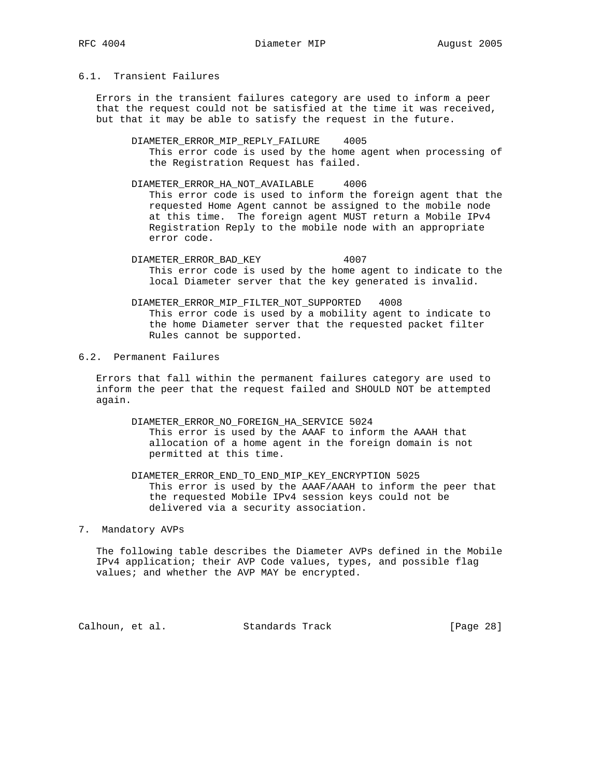# 6.1. Transient Failures

 Errors in the transient failures category are used to inform a peer that the request could not be satisfied at the time it was received, but that it may be able to satisfy the request in the future.

- DIAMETER\_ERROR\_MIP\_REPLY\_FAILURE 4005 This error code is used by the home agent when processing of the Registration Request has failed.
- DIAMETER\_ERROR\_HA\_NOT\_AVAILABLE 4006 This error code is used to inform the foreign agent that the requested Home Agent cannot be assigned to the mobile node at this time. The foreign agent MUST return a Mobile IPv4 Registration Reply to the mobile node with an appropriate error code.
- DIAMETER\_ERROR\_BAD\_KEY 4007 This error code is used by the home agent to indicate to the local Diameter server that the key generated is invalid.
- DIAMETER\_ERROR\_MIP\_FILTER\_NOT\_SUPPORTED 4008 This error code is used by a mobility agent to indicate to the home Diameter server that the requested packet filter Rules cannot be supported.

# 6.2. Permanent Failures

 Errors that fall within the permanent failures category are used to inform the peer that the request failed and SHOULD NOT be attempted again.

- DIAMETER\_ERROR\_NO\_FOREIGN\_HA\_SERVICE 5024 This error is used by the AAAF to inform the AAAH that allocation of a home agent in the foreign domain is not permitted at this time.
- DIAMETER\_ERROR\_END\_TO\_END\_MIP\_KEY\_ENCRYPTION 5025 This error is used by the AAAF/AAAH to inform the peer that the requested Mobile IPv4 session keys could not be delivered via a security association.

#### 7. Mandatory AVPs

 The following table describes the Diameter AVPs defined in the Mobile IPv4 application; their AVP Code values, types, and possible flag values; and whether the AVP MAY be encrypted.

Calhoun, et al. Standards Track [Page 28]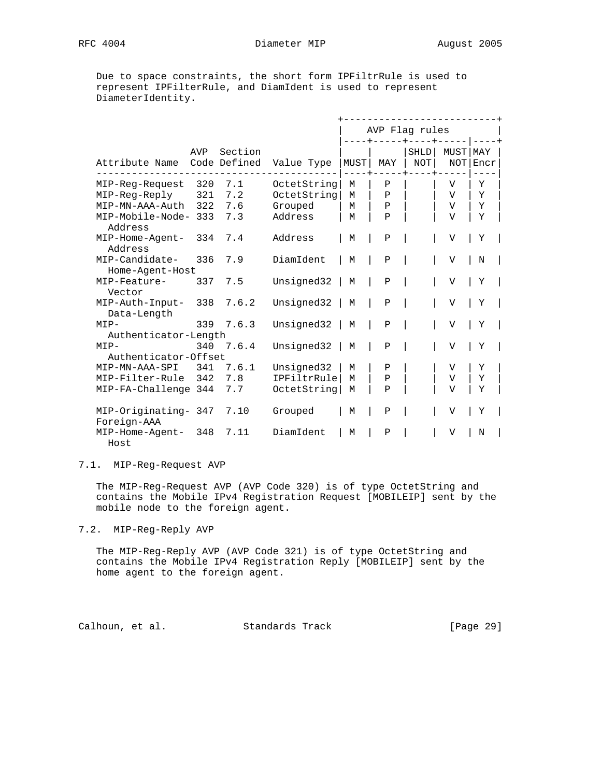Due to space constraints, the short form IPFiltrRule is used to represent IPFilterRule, and DiamIdent is used to represent DiameterIdentity.

|                                     |     |                         |             |      | AVP Flag rules |                               |                    |             |  |
|-------------------------------------|-----|-------------------------|-------------|------|----------------|-------------------------------|--------------------|-------------|--|
| Attribute Name                      | AVP | Section<br>Code Defined | Value Type  | MUST | MAY            | $- - +$<br><b>SHLD</b><br>NOT | <b>MUST</b><br>NOT | MAY<br>Encr |  |
| MIP-Reg-Request                     | 320 | 7.1                     | OctetString | M    | Ρ              |                               | V                  | Υ           |  |
| MIP-Reg-Reply                       | 321 | 7.2                     | OctetString | M    | $\mathbf{P}$   |                               | $\mathbf{V}$       | Y           |  |
| MIP-MN-AAA-Auth                     | 322 | 7.6                     | Grouped     | M    | $\mathbf P$    |                               | V                  | Υ           |  |
| MIP-Mobile-Node- 333<br>Address     |     | 7.3                     | Address     | M    | $\mathbf{P}$   |                               | $\overline{V}$     | Y           |  |
| MIP-Home-Agent-<br>Address          | 334 | 7.4                     | Address     | М    | $\mathbf P$    |                               | V                  | Υ           |  |
| MIP-Candidate-<br>Home-Agent-Host   | 336 | 7.9                     | DiamIdent   | M    | $\mathbf P$    |                               | $\overline{V}$     | N           |  |
| MIP-Feature-<br>Vector              | 337 | 7.5                     | Unsigned32  | M    | $\, {\bf P}$   |                               | V                  | Υ           |  |
| MIP-Auth-Input-<br>Data-Length      | 338 | 7.6.2                   | Unsigned32  | М    | $\, {\bf P}$   |                               | $\mathbf{V}$       | Υ           |  |
| $MTP-$                              | 339 | 7.6.3                   | Unsigned32  | M    | $\mathbf P$    |                               | V                  | Υ           |  |
| Authenticator-Length                |     |                         |             |      |                |                               |                    |             |  |
| $MIP-$                              | 340 | 7.6.4                   | Unsigned32  | М    | Ρ              |                               | V                  | Υ           |  |
| Authenticator-Offset                |     |                         |             |      |                |                               |                    |             |  |
| MIP-MN-AAA-SPI                      | 341 | 7.6.1                   | Unsigned32  | M    | Ρ              |                               | $\overline{V}$     | Υ           |  |
| MIP-Filter-Rule                     | 342 | 7.8                     | IPFiltrRule | M    | $\mathbf P$    |                               | $\mathbf{V}$       | Υ           |  |
| MIP-FA-Challenge 344                |     | 7.7                     | OctetString | М    | $\mathbf P$    |                               | $\overline{V}$     | Υ           |  |
| MIP-Originating- 347<br>Foreign-AAA |     | 7.10                    | Grouped     | М    | $\mathbf P$    |                               | V                  | Υ           |  |
| MIP-Home-Agent-<br>Host             | 348 | 7.11                    | DiamIdent   | M    | Ρ              |                               | V                  | N           |  |

## 7.1. MIP-Reg-Request AVP

 The MIP-Reg-Request AVP (AVP Code 320) is of type OctetString and contains the Mobile IPv4 Registration Request [MOBILEIP] sent by the mobile node to the foreign agent.

7.2. MIP-Reg-Reply AVP

 The MIP-Reg-Reply AVP (AVP Code 321) is of type OctetString and contains the Mobile IPv4 Registration Reply [MOBILEIP] sent by the home agent to the foreign agent.

Calhoun, et al. Standards Track [Page 29]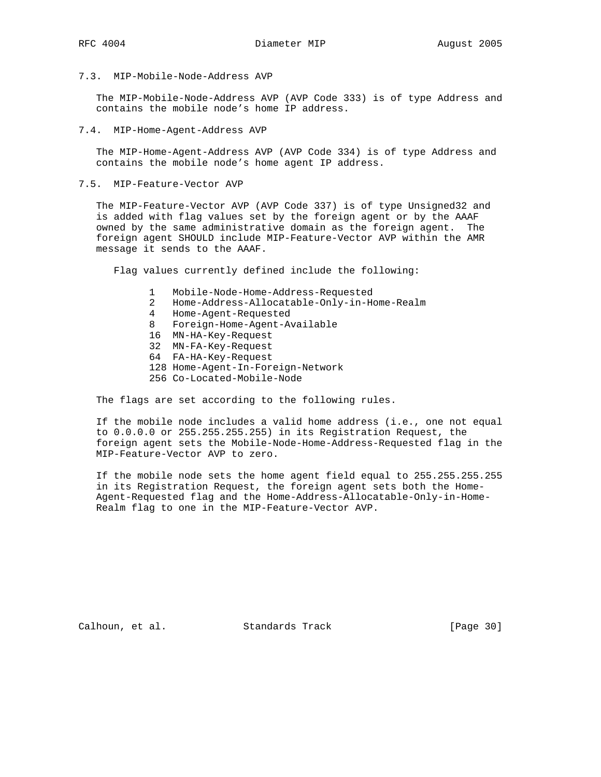7.3. MIP-Mobile-Node-Address AVP

 The MIP-Mobile-Node-Address AVP (AVP Code 333) is of type Address and contains the mobile node's home IP address.

7.4. MIP-Home-Agent-Address AVP

 The MIP-Home-Agent-Address AVP (AVP Code 334) is of type Address and contains the mobile node's home agent IP address.

7.5. MIP-Feature-Vector AVP

 The MIP-Feature-Vector AVP (AVP Code 337) is of type Unsigned32 and is added with flag values set by the foreign agent or by the AAAF owned by the same administrative domain as the foreign agent. The foreign agent SHOULD include MIP-Feature-Vector AVP within the AMR message it sends to the AAAF.

Flag values currently defined include the following:

- 1 Mobile-Node-Home-Address-Requested
- 2 Home-Address-Allocatable-Only-in-Home-Realm
- 4 Home-Agent-Requested
- 8 Foreign-Home-Agent-Available
- 16 MN-HA-Key-Request
- 32 MN-FA-Key-Request
- 64 FA-HA-Key-Request
- 128 Home-Agent-In-Foreign-Network
- 256 Co-Located-Mobile-Node

The flags are set according to the following rules.

 If the mobile node includes a valid home address (i.e., one not equal to 0.0.0.0 or 255.255.255.255) in its Registration Request, the foreign agent sets the Mobile-Node-Home-Address-Requested flag in the MIP-Feature-Vector AVP to zero.

 If the mobile node sets the home agent field equal to 255.255.255.255 in its Registration Request, the foreign agent sets both the Home- Agent-Requested flag and the Home-Address-Allocatable-Only-in-Home- Realm flag to one in the MIP-Feature-Vector AVP.

Calhoun, et al. Standards Track [Page 30]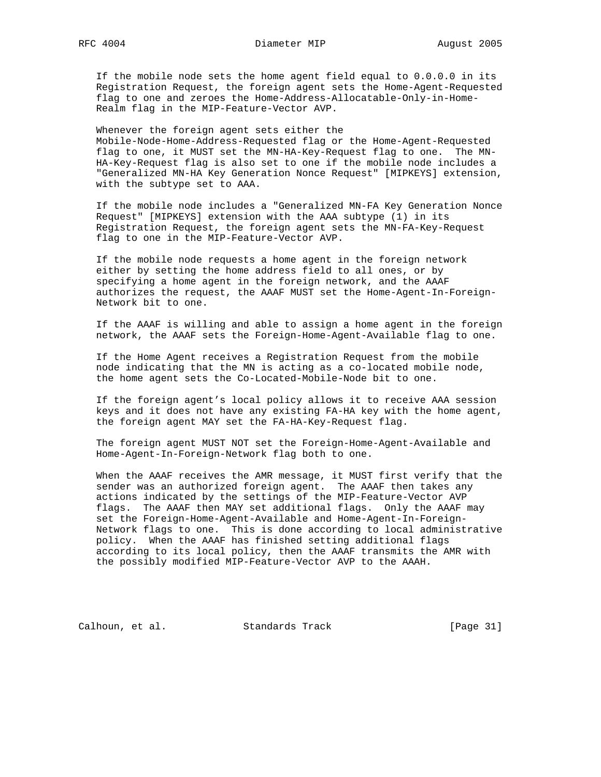If the mobile node sets the home agent field equal to 0.0.0.0 in its Registration Request, the foreign agent sets the Home-Agent-Requested flag to one and zeroes the Home-Address-Allocatable-Only-in-Home- Realm flag in the MIP-Feature-Vector AVP.

 Whenever the foreign agent sets either the Mobile-Node-Home-Address-Requested flag or the Home-Agent-Requested flag to one, it MUST set the MN-HA-Key-Request flag to one. The MN- HA-Key-Request flag is also set to one if the mobile node includes a "Generalized MN-HA Key Generation Nonce Request" [MIPKEYS] extension, with the subtype set to AAA.

 If the mobile node includes a "Generalized MN-FA Key Generation Nonce Request" [MIPKEYS] extension with the AAA subtype (1) in its Registration Request, the foreign agent sets the MN-FA-Key-Request flag to one in the MIP-Feature-Vector AVP.

 If the mobile node requests a home agent in the foreign network either by setting the home address field to all ones, or by specifying a home agent in the foreign network, and the AAAF authorizes the request, the AAAF MUST set the Home-Agent-In-Foreign- Network bit to one.

 If the AAAF is willing and able to assign a home agent in the foreign network, the AAAF sets the Foreign-Home-Agent-Available flag to one.

 If the Home Agent receives a Registration Request from the mobile node indicating that the MN is acting as a co-located mobile node, the home agent sets the Co-Located-Mobile-Node bit to one.

 If the foreign agent's local policy allows it to receive AAA session keys and it does not have any existing FA-HA key with the home agent, the foreign agent MAY set the FA-HA-Key-Request flag.

 The foreign agent MUST NOT set the Foreign-Home-Agent-Available and Home-Agent-In-Foreign-Network flag both to one.

 When the AAAF receives the AMR message, it MUST first verify that the sender was an authorized foreign agent. The AAAF then takes any actions indicated by the settings of the MIP-Feature-Vector AVP flags. The AAAF then MAY set additional flags. Only the AAAF may set the Foreign-Home-Agent-Available and Home-Agent-In-Foreign- Network flags to one. This is done according to local administrative policy. When the AAAF has finished setting additional flags according to its local policy, then the AAAF transmits the AMR with the possibly modified MIP-Feature-Vector AVP to the AAAH.

Calhoun, et al. Standards Track [Page 31]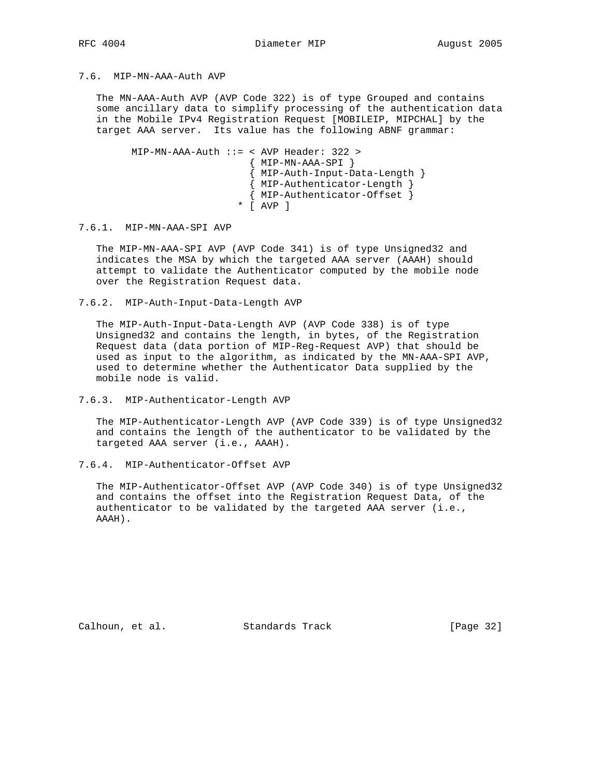# 7.6. MIP-MN-AAA-Auth AVP

 The MN-AAA-Auth AVP (AVP Code 322) is of type Grouped and contains some ancillary data to simplify processing of the authentication data in the Mobile IPv4 Registration Request [MOBILEIP, MIPCHAL] by the target AAA server. Its value has the following ABNF grammar:

 MIP-MN-AAA-Auth ::= < AVP Header: 322 >  ${$  MIP-MN-AAA-SPI  $}$  { MIP-Auth-Input-Data-Length } { MIP-Authenticator-Length } { MIP-Authenticator-Offset } \* [ AVP ]

7.6.1. MIP-MN-AAA-SPI AVP

 The MIP-MN-AAA-SPI AVP (AVP Code 341) is of type Unsigned32 and indicates the MSA by which the targeted AAA server (AAAH) should attempt to validate the Authenticator computed by the mobile node over the Registration Request data.

7.6.2. MIP-Auth-Input-Data-Length AVP

 The MIP-Auth-Input-Data-Length AVP (AVP Code 338) is of type Unsigned32 and contains the length, in bytes, of the Registration Request data (data portion of MIP-Reg-Request AVP) that should be used as input to the algorithm, as indicated by the MN-AAA-SPI AVP, used to determine whether the Authenticator Data supplied by the mobile node is valid.

7.6.3. MIP-Authenticator-Length AVP

 The MIP-Authenticator-Length AVP (AVP Code 339) is of type Unsigned32 and contains the length of the authenticator to be validated by the targeted AAA server (i.e., AAAH).

7.6.4. MIP-Authenticator-Offset AVP

 The MIP-Authenticator-Offset AVP (AVP Code 340) is of type Unsigned32 and contains the offset into the Registration Request Data, of the authenticator to be validated by the targeted AAA server (i.e., AAAH).

Calhoun, et al. Standards Track [Page 32]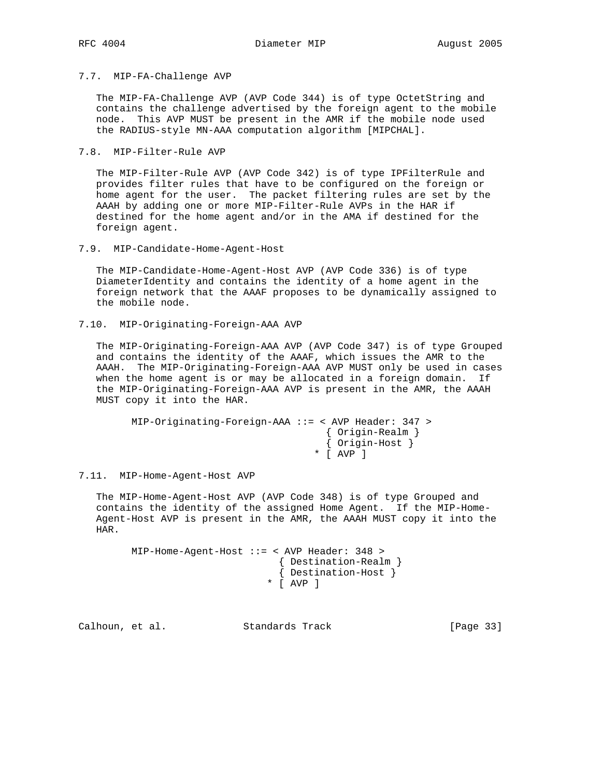7.7. MIP-FA-Challenge AVP

 The MIP-FA-Challenge AVP (AVP Code 344) is of type OctetString and contains the challenge advertised by the foreign agent to the mobile node. This AVP MUST be present in the AMR if the mobile node used the RADIUS-style MN-AAA computation algorithm [MIPCHAL].

7.8. MIP-Filter-Rule AVP

 The MIP-Filter-Rule AVP (AVP Code 342) is of type IPFilterRule and provides filter rules that have to be configured on the foreign or home agent for the user. The packet filtering rules are set by the AAAH by adding one or more MIP-Filter-Rule AVPs in the HAR if destined for the home agent and/or in the AMA if destined for the foreign agent.

7.9. MIP-Candidate-Home-Agent-Host

 The MIP-Candidate-Home-Agent-Host AVP (AVP Code 336) is of type DiameterIdentity and contains the identity of a home agent in the foreign network that the AAAF proposes to be dynamically assigned to the mobile node.

7.10. MIP-Originating-Foreign-AAA AVP

 The MIP-Originating-Foreign-AAA AVP (AVP Code 347) is of type Grouped and contains the identity of the AAAF, which issues the AMR to the AAAH. The MIP-Originating-Foreign-AAA AVP MUST only be used in cases when the home agent is or may be allocated in a foreign domain. If the MIP-Originating-Foreign-AAA AVP is present in the AMR, the AAAH MUST copy it into the HAR.

```
 MIP-Originating-Foreign-AAA ::= < AVP Header: 347 >
                       { Origin-Realm }
 { Origin-Host }
 * [ AVP ]
```
7.11. MIP-Home-Agent-Host AVP

 The MIP-Home-Agent-Host AVP (AVP Code 348) is of type Grouped and contains the identity of the assigned Home Agent. If the MIP-Home- Agent-Host AVP is present in the AMR, the AAAH MUST copy it into the HAR.

```
 MIP-Home-Agent-Host ::= < AVP Header: 348 >
                      { Destination-Realm }
 { Destination-Host }
 * [ AVP ]
```
Calhoun, et al. Standards Track [Page 33]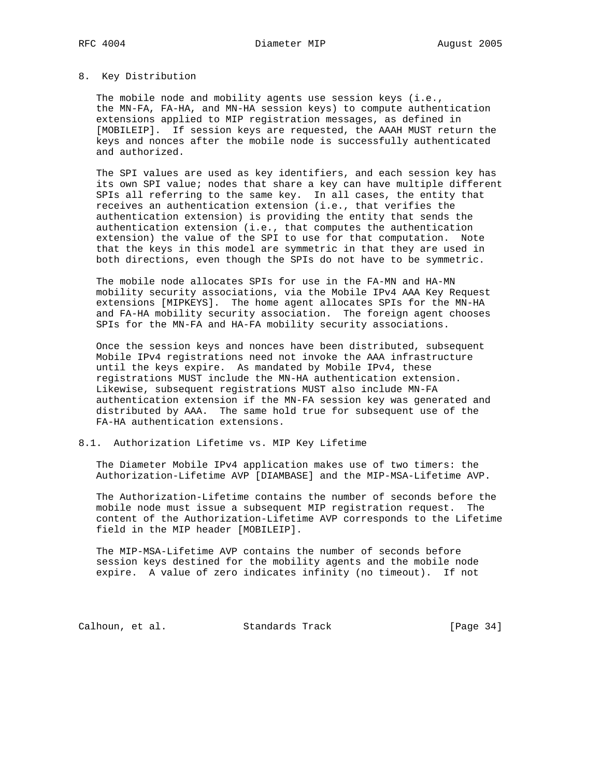#### 8. Key Distribution

 The mobile node and mobility agents use session keys (i.e., the MN-FA, FA-HA, and MN-HA session keys) to compute authentication extensions applied to MIP registration messages, as defined in [MOBILEIP]. If session keys are requested, the AAAH MUST return the keys and nonces after the mobile node is successfully authenticated and authorized.

 The SPI values are used as key identifiers, and each session key has its own SPI value; nodes that share a key can have multiple different SPIs all referring to the same key. In all cases, the entity that receives an authentication extension (i.e., that verifies the authentication extension) is providing the entity that sends the authentication extension (i.e., that computes the authentication extension) the value of the SPI to use for that computation. Note that the keys in this model are symmetric in that they are used in both directions, even though the SPIs do not have to be symmetric.

 The mobile node allocates SPIs for use in the FA-MN and HA-MN mobility security associations, via the Mobile IPv4 AAA Key Request extensions [MIPKEYS]. The home agent allocates SPIs for the MN-HA and FA-HA mobility security association. The foreign agent chooses SPIs for the MN-FA and HA-FA mobility security associations.

 Once the session keys and nonces have been distributed, subsequent Mobile IPv4 registrations need not invoke the AAA infrastructure until the keys expire. As mandated by Mobile IPv4, these registrations MUST include the MN-HA authentication extension. Likewise, subsequent registrations MUST also include MN-FA authentication extension if the MN-FA session key was generated and distributed by AAA. The same hold true for subsequent use of the FA-HA authentication extensions.

#### 8.1. Authorization Lifetime vs. MIP Key Lifetime

 The Diameter Mobile IPv4 application makes use of two timers: the Authorization-Lifetime AVP [DIAMBASE] and the MIP-MSA-Lifetime AVP.

 The Authorization-Lifetime contains the number of seconds before the mobile node must issue a subsequent MIP registration request. The content of the Authorization-Lifetime AVP corresponds to the Lifetime field in the MIP header [MOBILEIP].

 The MIP-MSA-Lifetime AVP contains the number of seconds before session keys destined for the mobility agents and the mobile node expire. A value of zero indicates infinity (no timeout). If not

Calhoun, et al. Standards Track [Page 34]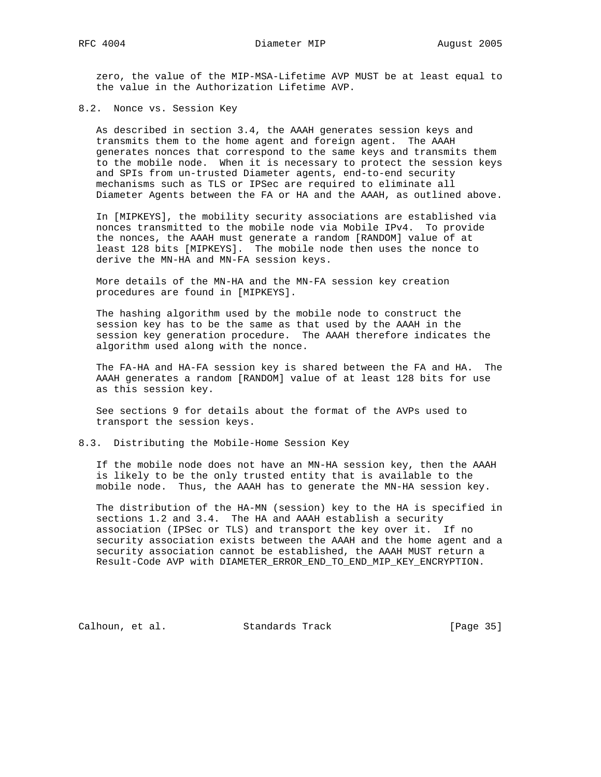zero, the value of the MIP-MSA-Lifetime AVP MUST be at least equal to the value in the Authorization Lifetime AVP.

### 8.2. Nonce vs. Session Key

 As described in section 3.4, the AAAH generates session keys and transmits them to the home agent and foreign agent. The AAAH generates nonces that correspond to the same keys and transmits them to the mobile node. When it is necessary to protect the session keys and SPIs from un-trusted Diameter agents, end-to-end security mechanisms such as TLS or IPSec are required to eliminate all Diameter Agents between the FA or HA and the AAAH, as outlined above.

 In [MIPKEYS], the mobility security associations are established via nonces transmitted to the mobile node via Mobile IPv4. To provide the nonces, the AAAH must generate a random [RANDOM] value of at least 128 bits [MIPKEYS]. The mobile node then uses the nonce to derive the MN-HA and MN-FA session keys.

 More details of the MN-HA and the MN-FA session key creation procedures are found in [MIPKEYS].

 The hashing algorithm used by the mobile node to construct the session key has to be the same as that used by the AAAH in the session key generation procedure. The AAAH therefore indicates the algorithm used along with the nonce.

 The FA-HA and HA-FA session key is shared between the FA and HA. The AAAH generates a random [RANDOM] value of at least 128 bits for use as this session key.

 See sections 9 for details about the format of the AVPs used to transport the session keys.

#### 8.3. Distributing the Mobile-Home Session Key

 If the mobile node does not have an MN-HA session key, then the AAAH is likely to be the only trusted entity that is available to the mobile node. Thus, the AAAH has to generate the MN-HA session key.

 The distribution of the HA-MN (session) key to the HA is specified in sections 1.2 and 3.4. The HA and AAAH establish a security association (IPSec or TLS) and transport the key over it. If no security association exists between the AAAH and the home agent and a security association cannot be established, the AAAH MUST return a Result-Code AVP with DIAMETER\_ERROR\_END\_TO\_END\_MIP\_KEY\_ENCRYPTION.

Calhoun, et al. Standards Track [Page 35]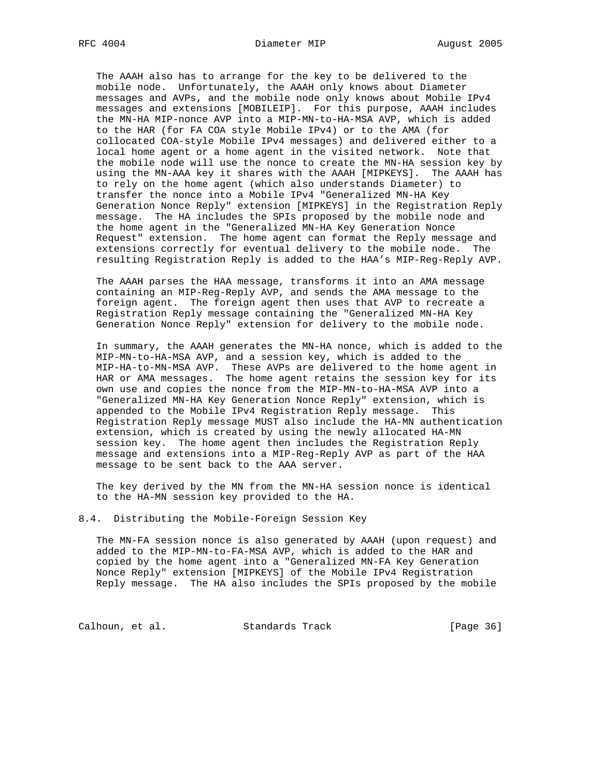The AAAH also has to arrange for the key to be delivered to the mobile node. Unfortunately, the AAAH only knows about Diameter messages and AVPs, and the mobile node only knows about Mobile IPv4 messages and extensions [MOBILEIP]. For this purpose, AAAH includes the MN-HA MIP-nonce AVP into a MIP-MN-to-HA-MSA AVP, which is added to the HAR (for FA COA style Mobile IPv4) or to the AMA (for collocated COA-style Mobile IPv4 messages) and delivered either to a local home agent or a home agent in the visited network. Note that the mobile node will use the nonce to create the MN-HA session key by using the MN-AAA key it shares with the AAAH [MIPKEYS]. The AAAH has to rely on the home agent (which also understands Diameter) to transfer the nonce into a Mobile IPv4 "Generalized MN-HA Key Generation Nonce Reply" extension [MIPKEYS] in the Registration Reply message. The HA includes the SPIs proposed by the mobile node and the home agent in the "Generalized MN-HA Key Generation Nonce Request" extension. The home agent can format the Reply message and extensions correctly for eventual delivery to the mobile node. The resulting Registration Reply is added to the HAA's MIP-Reg-Reply AVP.

 The AAAH parses the HAA message, transforms it into an AMA message containing an MIP-Reg-Reply AVP, and sends the AMA message to the foreign agent. The foreign agent then uses that AVP to recreate a Registration Reply message containing the "Generalized MN-HA Key Generation Nonce Reply" extension for delivery to the mobile node.

 In summary, the AAAH generates the MN-HA nonce, which is added to the MIP-MN-to-HA-MSA AVP, and a session key, which is added to the MIP-HA-to-MN-MSA AVP. These AVPs are delivered to the home agent in HAR or AMA messages. The home agent retains the session key for its own use and copies the nonce from the MIP-MN-to-HA-MSA AVP into a "Generalized MN-HA Key Generation Nonce Reply" extension, which is appended to the Mobile IPv4 Registration Reply message. This Registration Reply message MUST also include the HA-MN authentication extension, which is created by using the newly allocated HA-MN session key. The home agent then includes the Registration Reply message and extensions into a MIP-Reg-Reply AVP as part of the HAA message to be sent back to the AAA server.

 The key derived by the MN from the MN-HA session nonce is identical to the HA-MN session key provided to the HA.

8.4. Distributing the Mobile-Foreign Session Key

 The MN-FA session nonce is also generated by AAAH (upon request) and added to the MIP-MN-to-FA-MSA AVP, which is added to the HAR and copied by the home agent into a "Generalized MN-FA Key Generation Nonce Reply" extension [MIPKEYS] of the Mobile IPv4 Registration Reply message. The HA also includes the SPIs proposed by the mobile

Calhoun, et al. Standards Track [Page 36]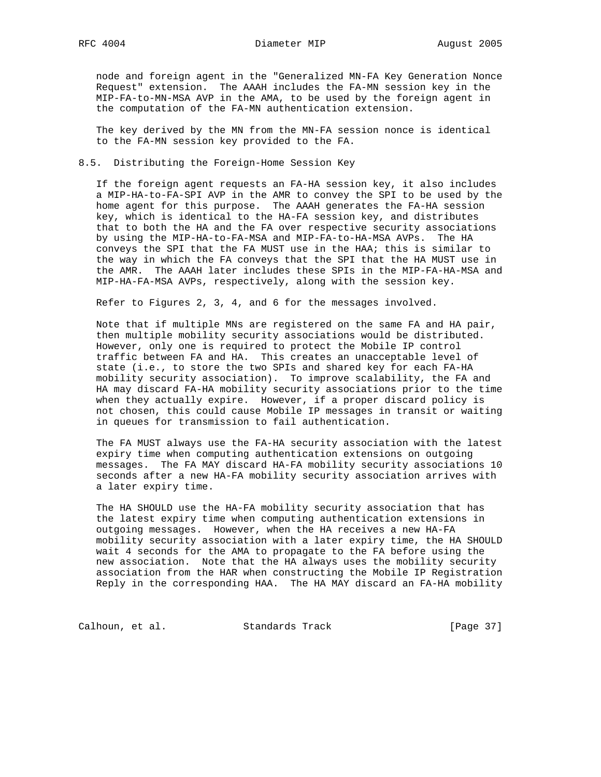node and foreign agent in the "Generalized MN-FA Key Generation Nonce Request" extension. The AAAH includes the FA-MN session key in the MIP-FA-to-MN-MSA AVP in the AMA, to be used by the foreign agent in the computation of the FA-MN authentication extension.

 The key derived by the MN from the MN-FA session nonce is identical to the FA-MN session key provided to the FA.

#### 8.5. Distributing the Foreign-Home Session Key

 If the foreign agent requests an FA-HA session key, it also includes a MIP-HA-to-FA-SPI AVP in the AMR to convey the SPI to be used by the home agent for this purpose. The AAAH generates the FA-HA session key, which is identical to the HA-FA session key, and distributes that to both the HA and the FA over respective security associations by using the MIP-HA-to-FA-MSA and MIP-FA-to-HA-MSA AVPs. The HA conveys the SPI that the FA MUST use in the HAA; this is similar to the way in which the FA conveys that the SPI that the HA MUST use in the AMR. The AAAH later includes these SPIs in the MIP-FA-HA-MSA and MIP-HA-FA-MSA AVPs, respectively, along with the session key.

Refer to Figures 2, 3, 4, and 6 for the messages involved.

 Note that if multiple MNs are registered on the same FA and HA pair, then multiple mobility security associations would be distributed. However, only one is required to protect the Mobile IP control traffic between FA and HA. This creates an unacceptable level of state (i.e., to store the two SPIs and shared key for each FA-HA mobility security association). To improve scalability, the FA and HA may discard FA-HA mobility security associations prior to the time when they actually expire. However, if a proper discard policy is not chosen, this could cause Mobile IP messages in transit or waiting in queues for transmission to fail authentication.

 The FA MUST always use the FA-HA security association with the latest expiry time when computing authentication extensions on outgoing messages. The FA MAY discard HA-FA mobility security associations 10 seconds after a new HA-FA mobility security association arrives with a later expiry time.

 The HA SHOULD use the HA-FA mobility security association that has the latest expiry time when computing authentication extensions in outgoing messages. However, when the HA receives a new HA-FA mobility security association with a later expiry time, the HA SHOULD wait 4 seconds for the AMA to propagate to the FA before using the new association. Note that the HA always uses the mobility security association from the HAR when constructing the Mobile IP Registration Reply in the corresponding HAA. The HA MAY discard an FA-HA mobility

Calhoun, et al. Standards Track [Page 37]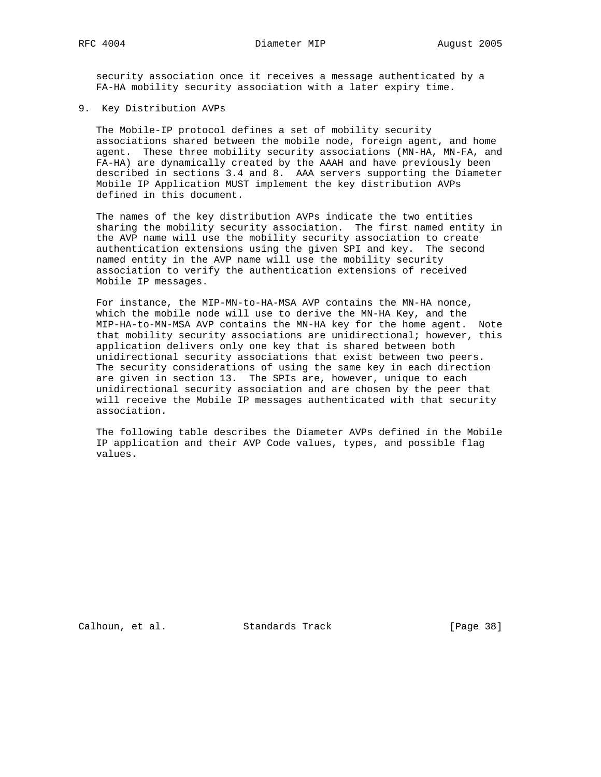security association once it receives a message authenticated by a FA-HA mobility security association with a later expiry time.

9. Key Distribution AVPs

 The Mobile-IP protocol defines a set of mobility security associations shared between the mobile node, foreign agent, and home agent. These three mobility security associations (MN-HA, MN-FA, and FA-HA) are dynamically created by the AAAH and have previously been described in sections 3.4 and 8. AAA servers supporting the Diameter Mobile IP Application MUST implement the key distribution AVPs defined in this document.

 The names of the key distribution AVPs indicate the two entities sharing the mobility security association. The first named entity in the AVP name will use the mobility security association to create authentication extensions using the given SPI and key. The second named entity in the AVP name will use the mobility security association to verify the authentication extensions of received Mobile IP messages.

 For instance, the MIP-MN-to-HA-MSA AVP contains the MN-HA nonce, which the mobile node will use to derive the MN-HA Key, and the MIP-HA-to-MN-MSA AVP contains the MN-HA key for the home agent. Note that mobility security associations are unidirectional; however, this application delivers only one key that is shared between both unidirectional security associations that exist between two peers. The security considerations of using the same key in each direction are given in section 13. The SPIs are, however, unique to each unidirectional security association and are chosen by the peer that will receive the Mobile IP messages authenticated with that security association.

 The following table describes the Diameter AVPs defined in the Mobile IP application and their AVP Code values, types, and possible flag values.

Calhoun, et al. Standards Track [Page 38]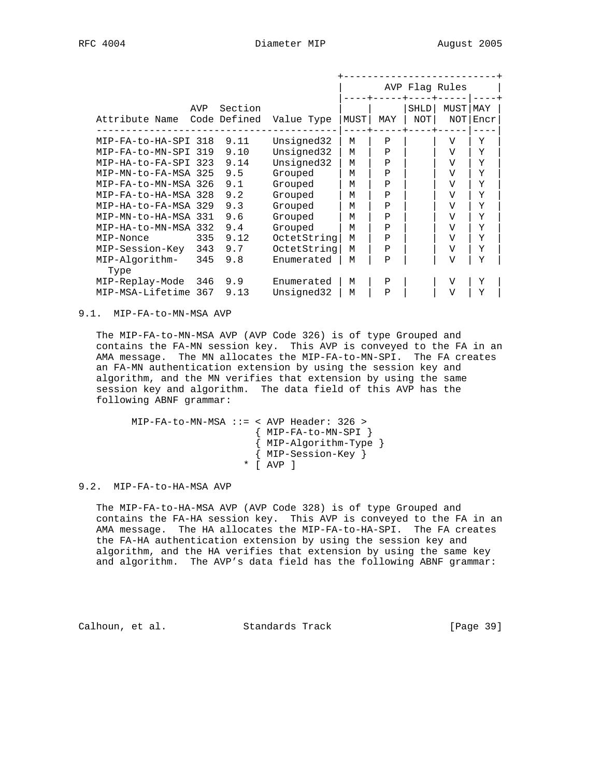|                               |              |         |             |      |              |                           | AVP Flag Rules |             |  |
|-------------------------------|--------------|---------|-------------|------|--------------|---------------------------|----------------|-------------|--|
| AVP<br>Attribute Name         | Code Defined | Section | Value Type  | MUST | MAY          | <b>SHLD</b><br><b>NOT</b> | MUST<br>NOT    | MAY<br>Encr |  |
| MIP-FA-to-HA-SPI 318          | 9.11         |         | Unsigned32  | м    | Ρ            |                           | V              | Υ           |  |
| MIP-FA-to-MN-SPI<br>319       | 9.10         |         | Unsigned32  | M    | $\mathbf P$  |                           | V              | Υ           |  |
| MIP-HA-to-FA-SPI 323          | 9.14         |         | Unsigned32  | M    | $\mathbf{P}$ |                           | V              | Y           |  |
| MIP-MN-to-FA-MSA 325          | 9.5          |         | Grouped     | M    | Ρ            |                           | V              | Y           |  |
| MIP-FA-to-MN-MSA 326          | 9.1          |         | Grouped     | M    | $\mathbf{P}$ |                           | V              | Y           |  |
| MIP-FA-to-HA-MSA<br>328       | 9.2          |         | Grouped     | M    | $\mathbf{P}$ |                           | V              | Y           |  |
| MIP-HA-to-FA-MSA<br>329       | 9.3          |         | Grouped     | м    | $\mathbf{P}$ |                           | V              | Y           |  |
| MIP-MN-to-HA-MSA<br>331       | 9.6          |         | Grouped     | M    | $\mathbf P$  |                           | V              | Υ           |  |
| MIP-HA-to-MN-MSA<br>332       | 9.4          |         | Grouped     | M    | $\mathbf{P}$ |                           | $\overline{V}$ | Y           |  |
| 335<br>MIP-Nonce              | 9.12         |         | OctetString | м    | Ρ            |                           | V              | Y           |  |
| 343<br>MIP-Session-Key        | 9.7          |         | OctetString | M    | $\mathbf P$  |                           | V              | Y           |  |
| 345<br>MIP-Algorithm-<br>Type | 9.8          |         | Enumerated  | M    | Ρ            |                           | $\overline{V}$ | Y           |  |
| MIP-Replay-Mode<br>346        | 9.9          |         | Enumerated  | M    | $\mathbf P$  |                           | V              | Υ           |  |
| MIP-MSA-Lifetime<br>367       | 9.13         |         | Unsigned32  | M    | Ρ            |                           | $\overline{V}$ | Y           |  |

9.1. MIP-FA-to-MN-MSA AVP

 The MIP-FA-to-MN-MSA AVP (AVP Code 326) is of type Grouped and contains the FA-MN session key. This AVP is conveyed to the FA in an AMA message. The MN allocates the MIP-FA-to-MN-SPI. The FA creates an FA-MN authentication extension by using the session key and algorithm, and the MN verifies that extension by using the same session key and algorithm. The data field of this AVP has the following ABNF grammar:

 MIP-FA-to-MN-MSA ::= < AVP Header: 326 > { MIP-FA-to-MN-SPI } { MIP-Algorithm-Type } { MIP-Session-Key } \* [ AVP ]

9.2. MIP-FA-to-HA-MSA AVP

 The MIP-FA-to-HA-MSA AVP (AVP Code 328) is of type Grouped and contains the FA-HA session key. This AVP is conveyed to the FA in an AMA message. The HA allocates the MIP-FA-to-HA-SPI. The FA creates the FA-HA authentication extension by using the session key and algorithm, and the HA verifies that extension by using the same key and algorithm. The AVP's data field has the following ABNF grammar:

Calhoun, et al. Standards Track [Page 39]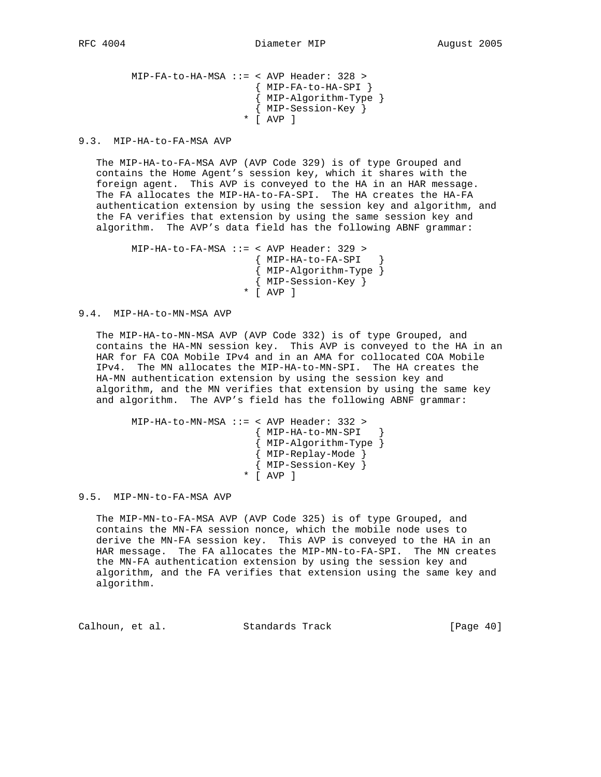```
 MIP-FA-to-HA-MSA ::= < AVP Header: 328 >
 { MIP-FA-to-HA-SPI }
 { MIP-Algorithm-Type }
                     { MIP-Session-Key }
                    * [ AVP ]
```
9.3. MIP-HA-to-FA-MSA AVP

 The MIP-HA-to-FA-MSA AVP (AVP Code 329) is of type Grouped and contains the Home Agent's session key, which it shares with the foreign agent. This AVP is conveyed to the HA in an HAR message. The FA allocates the MIP-HA-to-FA-SPI. The HA creates the HA-FA authentication extension by using the session key and algorithm, and the FA verifies that extension by using the same session key and algorithm. The AVP's data field has the following ABNF grammar:

 MIP-HA-to-FA-MSA ::= < AVP Header: 329 > { MIP-HA-to-FA-SPI } { MIP-Algorithm-Type } { MIP-Session-Key } \* [ AVP ]

9.4. MIP-HA-to-MN-MSA AVP

 The MIP-HA-to-MN-MSA AVP (AVP Code 332) is of type Grouped, and contains the HA-MN session key. This AVP is conveyed to the HA in an HAR for FA COA Mobile IPv4 and in an AMA for collocated COA Mobile IPv4. The MN allocates the MIP-HA-to-MN-SPI. The HA creates the HA-MN authentication extension by using the session key and algorithm, and the MN verifies that extension by using the same key and algorithm. The AVP's field has the following ABNF grammar:

```
 MIP-HA-to-MN-MSA ::= < AVP Header: 332 >
                       { MIP-HA-to-MN-SPI }
                       { MIP-Algorithm-Type }
                      { MIP-Replay-Mode }
                       { MIP-Session-Key }
                    * [ AVP ]
```
9.5. MIP-MN-to-FA-MSA AVP

 The MIP-MN-to-FA-MSA AVP (AVP Code 325) is of type Grouped, and contains the MN-FA session nonce, which the mobile node uses to derive the MN-FA session key. This AVP is conveyed to the HA in an HAR message. The FA allocates the MIP-MN-to-FA-SPI. The MN creates the MN-FA authentication extension by using the session key and algorithm, and the FA verifies that extension using the same key and algorithm.

Calhoun, et al. Standards Track [Page 40]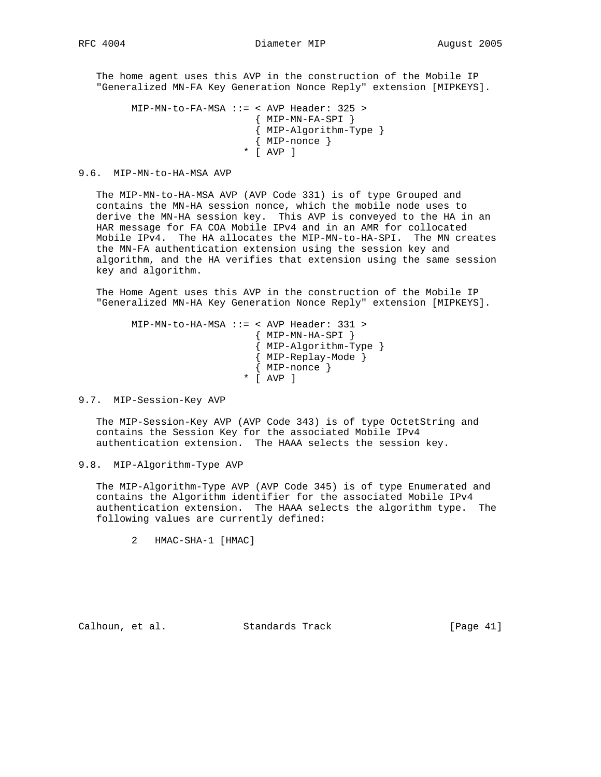The home agent uses this AVP in the construction of the Mobile IP "Generalized MN-FA Key Generation Nonce Reply" extension [MIPKEYS].

```
 MIP-MN-to-FA-MSA ::= < AVP Header: 325 >
                       { MIP-MN-FA-SPI }
                       { MIP-Algorithm-Type }
                       { MIP-nonce }
                     * [ AVP ]
```
#### 9.6. MIP-MN-to-HA-MSA AVP

 The MIP-MN-to-HA-MSA AVP (AVP Code 331) is of type Grouped and contains the MN-HA session nonce, which the mobile node uses to derive the MN-HA session key. This AVP is conveyed to the HA in an HAR message for FA COA Mobile IPv4 and in an AMR for collocated Mobile IPv4. The HA allocates the MIP-MN-to-HA-SPI. The MN creates the MN-FA authentication extension using the session key and algorithm, and the HA verifies that extension using the same session key and algorithm.

 The Home Agent uses this AVP in the construction of the Mobile IP "Generalized MN-HA Key Generation Nonce Reply" extension [MIPKEYS].

```
 MIP-MN-to-HA-MSA ::= < AVP Header: 331 >
                      { MIP-MN-HA-SPI }
 { MIP-Algorithm-Type }
 { MIP-Replay-Mode }
                      { MIP-nonce }
                     * [ AVP ]
```
9.7. MIP-Session-Key AVP

 The MIP-Session-Key AVP (AVP Code 343) is of type OctetString and contains the Session Key for the associated Mobile IPv4 authentication extension. The HAAA selects the session key.

9.8. MIP-Algorithm-Type AVP

 The MIP-Algorithm-Type AVP (AVP Code 345) is of type Enumerated and contains the Algorithm identifier for the associated Mobile IPv4 authentication extension. The HAAA selects the algorithm type. The following values are currently defined:

2 HMAC-SHA-1 [HMAC]

Calhoun, et al. Standards Track [Page 41]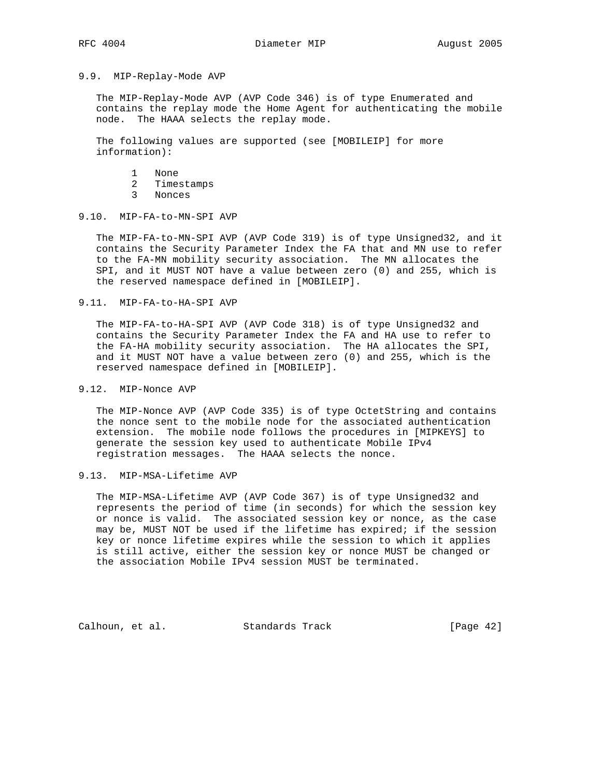# 9.9. MIP-Replay-Mode AVP

 The MIP-Replay-Mode AVP (AVP Code 346) is of type Enumerated and contains the replay mode the Home Agent for authenticating the mobile node. The HAAA selects the replay mode.

 The following values are supported (see [MOBILEIP] for more information):

- 1 None
- 2 Timestamps
- 3 Nonces

### 9.10. MIP-FA-to-MN-SPI AVP

 The MIP-FA-to-MN-SPI AVP (AVP Code 319) is of type Unsigned32, and it contains the Security Parameter Index the FA that and MN use to refer to the FA-MN mobility security association. The MN allocates the SPI, and it MUST NOT have a value between zero (0) and 255, which is the reserved namespace defined in [MOBILEIP].

9.11. MIP-FA-to-HA-SPI AVP

 The MIP-FA-to-HA-SPI AVP (AVP Code 318) is of type Unsigned32 and contains the Security Parameter Index the FA and HA use to refer to the FA-HA mobility security association. The HA allocates the SPI, and it MUST NOT have a value between zero (0) and 255, which is the reserved namespace defined in [MOBILEIP].

### 9.12. MIP-Nonce AVP

 The MIP-Nonce AVP (AVP Code 335) is of type OctetString and contains the nonce sent to the mobile node for the associated authentication extension. The mobile node follows the procedures in [MIPKEYS] to generate the session key used to authenticate Mobile IPv4 registration messages. The HAAA selects the nonce.

### 9.13. MIP-MSA-Lifetime AVP

 The MIP-MSA-Lifetime AVP (AVP Code 367) is of type Unsigned32 and represents the period of time (in seconds) for which the session key or nonce is valid. The associated session key or nonce, as the case may be, MUST NOT be used if the lifetime has expired; if the session key or nonce lifetime expires while the session to which it applies is still active, either the session key or nonce MUST be changed or the association Mobile IPv4 session MUST be terminated.

Calhoun, et al. Standards Track [Page 42]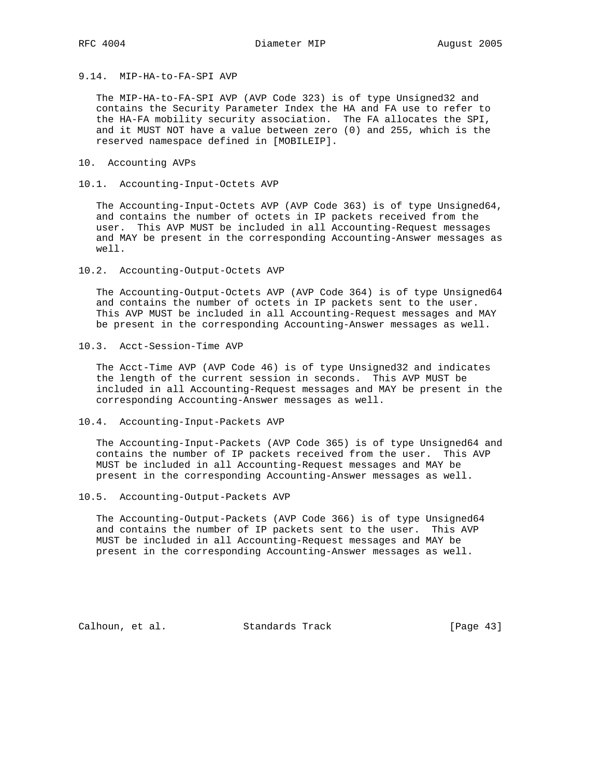9.14. MIP-HA-to-FA-SPI AVP

 The MIP-HA-to-FA-SPI AVP (AVP Code 323) is of type Unsigned32 and contains the Security Parameter Index the HA and FA use to refer to the HA-FA mobility security association. The FA allocates the SPI, and it MUST NOT have a value between zero (0) and 255, which is the reserved namespace defined in [MOBILEIP].

10. Accounting AVPs

10.1. Accounting-Input-Octets AVP

 The Accounting-Input-Octets AVP (AVP Code 363) is of type Unsigned64, and contains the number of octets in IP packets received from the user. This AVP MUST be included in all Accounting-Request messages and MAY be present in the corresponding Accounting-Answer messages as well.

10.2. Accounting-Output-Octets AVP

 The Accounting-Output-Octets AVP (AVP Code 364) is of type Unsigned64 and contains the number of octets in IP packets sent to the user. This AVP MUST be included in all Accounting-Request messages and MAY be present in the corresponding Accounting-Answer messages as well.

10.3. Acct-Session-Time AVP

 The Acct-Time AVP (AVP Code 46) is of type Unsigned32 and indicates the length of the current session in seconds. This AVP MUST be included in all Accounting-Request messages and MAY be present in the corresponding Accounting-Answer messages as well.

10.4. Accounting-Input-Packets AVP

 The Accounting-Input-Packets (AVP Code 365) is of type Unsigned64 and contains the number of IP packets received from the user. This AVP MUST be included in all Accounting-Request messages and MAY be present in the corresponding Accounting-Answer messages as well.

10.5. Accounting-Output-Packets AVP

 The Accounting-Output-Packets (AVP Code 366) is of type Unsigned64 and contains the number of IP packets sent to the user. This AVP MUST be included in all Accounting-Request messages and MAY be present in the corresponding Accounting-Answer messages as well.

Calhoun, et al. Standards Track [Page 43]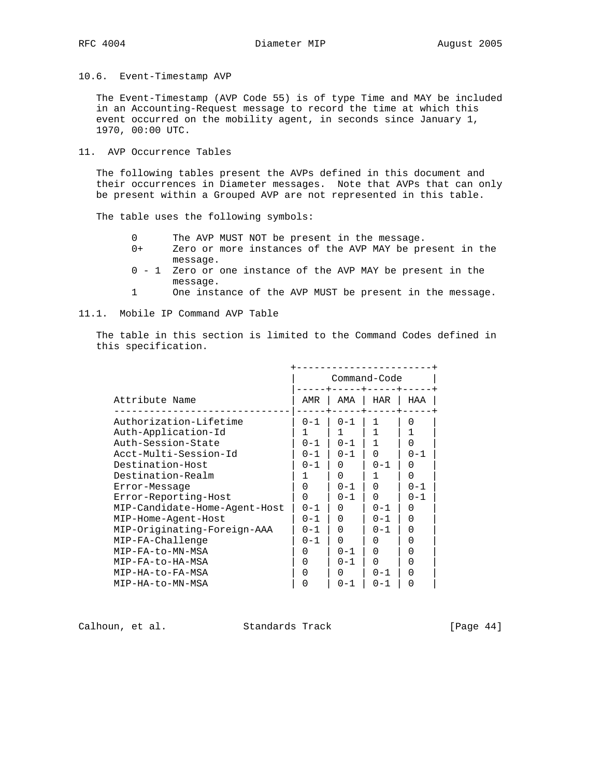10.6. Event-Timestamp AVP

 The Event-Timestamp (AVP Code 55) is of type Time and MAY be included in an Accounting-Request message to record the time at which this event occurred on the mobility agent, in seconds since January 1, 1970, 00:00 UTC.

11. AVP Occurrence Tables

 The following tables present the AVPs defined in this document and their occurrences in Diameter messages. Note that AVPs that can only be present within a Grouped AVP are not represented in this table.

The table uses the following symbols:

- 0 The AVP MUST NOT be present in the message.
- 0+ Zero or more instances of the AVP MAY be present in the message.
- 0 1 Zero or one instance of the AVP MAY be present in the message.
- 1 One instance of the AVP MUST be present in the message.

### 11.1. Mobile IP Command AVP Table

 The table in this section is limited to the Command Codes defined in this specification.

|                               |         |          | Command-Code     |                  |
|-------------------------------|---------|----------|------------------|------------------|
| Attribute Name                | AMR     | AMA      | HAR              | HAA              |
| Authorization-Lifetime        | $0 - 1$ | $0 - 1$  | 1                | $\cap$           |
| Auth-Application-Id           |         | 1        |                  |                  |
| Auth-Session-State            | $0 - 1$ | $0 - 1$  |                  | 0                |
| Acct-Multi-Session-Id         | $0 - 1$ | $0 - 1$  | 0                | $0 - 1$          |
| Destination-Host              | $0 - 1$ | 0        | $0 - 1$          | $\left( \right)$ |
| Destination-Realm             |         | 0        |                  | 0                |
| Error-Message                 | 0       | $0 - 1$  | 0                | $0 - 1$          |
| Error-Reporting-Host          | O       | $0 - 1$  | 0                | $0 - 1$          |
| MIP-Candidate-Home-Agent-Host | $0 - 1$ | $\Omega$ | $0 - 1$          | $\left( \right)$ |
| MIP-Home-Agent-Host           | $0 - 1$ | 0        | $0 - 1$          | O                |
| MIP-Originating-Foreign-AAA   | $0 - 1$ | 0        | $0 - 1$          | O                |
| MIP-FA-Challenge              | $0 - 1$ | 0        | $\left( \right)$ | $\left( \right)$ |
| MIP-FA-to-MN-MSA              | 0       | $0 - 1$  | <sup>0</sup>     | $\left( \right)$ |
| MIP-FA-to-HA-MSA              | O       | $0 - 1$  | <sup>0</sup>     | O                |
| MIP-HA-to-FA-MSA              | Ω       | 0        | $0 - 1$          |                  |
| MTP-HA-to-MN-MSA              |         | $0 - 1$  | $0 - 1$          | U                |

Calhoun, et al. Standards Track [Page 44]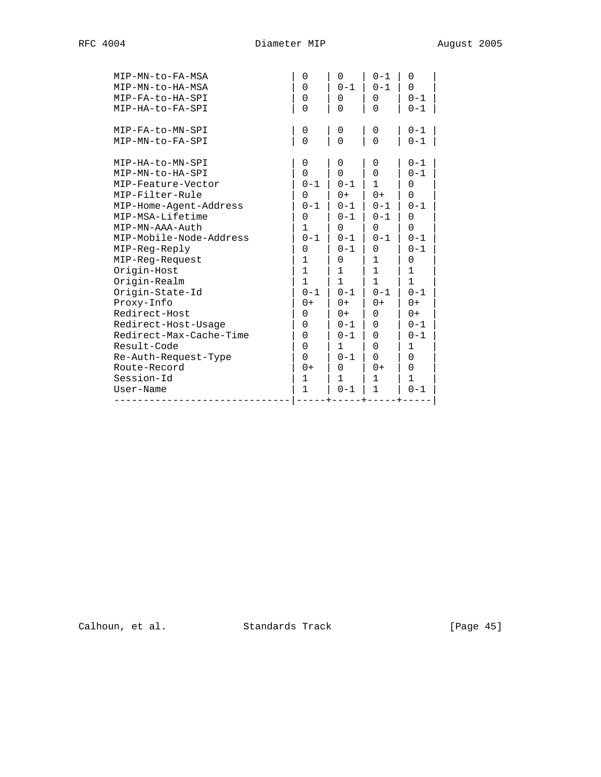| MIP-FA-to-MN-SPI<br>$0 - 1$<br>0<br>0<br>0<br>$\Omega$<br>$\Omega$<br>$\Omega$<br>$0 - 1$<br>MIP-MN-to-FA-SPI<br>MIP-HA-to-MN-SPI<br>0<br>0<br>0<br>$0 - 1$<br>$\Omega$<br>$\Omega$<br>0<br>$0 - 1$<br>MIP-MN-to-HA-SPI<br>$\mathbf{1}$<br>MIP-Feature-Vector<br>$0 - 1$<br>$0 - 1$<br>$\Omega$<br>MIP-Filter-Rule<br>$0+$<br>$0+$<br>0<br>0<br>$0 - 1$<br>MIP-Home-Agent-Address<br>$0 - 1$<br>$0 - 1$<br>$0 - 1$<br>MIP-MSA-Lifetime<br>$0 - 1$<br>0<br>$0 - 1$<br>$\Omega$<br>MIP-MN-AAA-Auth<br>1<br>$\Omega$<br>$\Omega$<br>0<br>$0 - 1$<br>MIP-Mobile-Node-Address<br>$0 - 1$<br>$0 - 1$<br>$0 - 1$<br>MIP-Reg-Reply<br>$0 - 1$<br>$0 - 1$<br>$\Omega$<br>$\Omega$<br>1<br>MIP-Reg-Request<br>1<br>0<br>0<br>Origin-Host<br>$\mathbf{1}$<br>$\mathbf{1}$<br>$\mathbf{1}$<br>1<br>Origin-Realm<br>1<br>$\mathbf{1}$<br>$\mathbf{1}$<br>1<br>Origin-State-Id<br>$0 - 1$<br>$0 - 1$<br>$0 - 1$<br>$0 - 1$<br>Proxy-Info<br>$0+$<br>$0+$<br>$0+$<br>0+<br>Redirect-Host<br>$\Omega$<br>$0+$<br>0<br>$0+$<br>Redirect-Host-Usage<br>$\Omega$<br>$\Omega$<br>$0 - 1$<br>$0 - 1$<br>Redirect-Max-Cache-Time<br>$\Omega$<br>0<br>$0 - 1$<br>$0 - 1$<br>Result-Code<br>$\Omega$<br>0<br>1<br>1<br>Re-Auth-Request-Type<br>$0 - 1$<br>$\Omega$<br>$\Omega$<br>0<br>Route-Record<br>$0+$<br>$0+$<br>0<br>0<br>Session-Id<br>1<br>$\mathbf{1}$<br>1<br>1 | MIP-MN-to-FA-MSA<br>MIP-MN-to-HA-MSA<br>MIP-FA-to-HA-SPI<br>MIP-HA-to-FA-SPI | 0<br>$\Omega$<br>0<br>$\Omega$ | $\Omega$<br>$0 - 1$<br>0<br>0 | $0 - 1$<br>$0 - 1$<br>0<br>$\Omega$ | $\Omega$<br>$\Omega$<br>$0 - 1$<br>$0 - 1$ |
|----------------------------------------------------------------------------------------------------------------------------------------------------------------------------------------------------------------------------------------------------------------------------------------------------------------------------------------------------------------------------------------------------------------------------------------------------------------------------------------------------------------------------------------------------------------------------------------------------------------------------------------------------------------------------------------------------------------------------------------------------------------------------------------------------------------------------------------------------------------------------------------------------------------------------------------------------------------------------------------------------------------------------------------------------------------------------------------------------------------------------------------------------------------------------------------------------------------------------------------------------------------------------------------------------------------------------------------------------|------------------------------------------------------------------------------|--------------------------------|-------------------------------|-------------------------------------|--------------------------------------------|
|                                                                                                                                                                                                                                                                                                                                                                                                                                                                                                                                                                                                                                                                                                                                                                                                                                                                                                                                                                                                                                                                                                                                                                                                                                                                                                                                                    |                                                                              |                                |                               |                                     |                                            |
|                                                                                                                                                                                                                                                                                                                                                                                                                                                                                                                                                                                                                                                                                                                                                                                                                                                                                                                                                                                                                                                                                                                                                                                                                                                                                                                                                    | User-Name                                                                    | 1                              | $0 - 1$                       | 1                                   | $0 - 1$                                    |

Calhoun, et al. Standards Track [Page 45]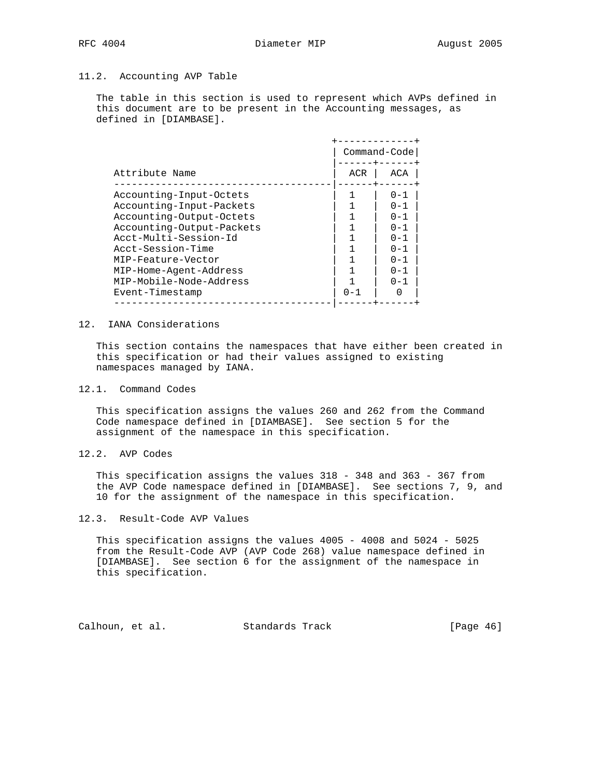# 11.2. Accounting AVP Table

 The table in this section is used to represent which AVPs defined in this document are to be present in the Accounting messages, as defined in [DIAMBASE].

|                           | Command-Code |         |
|---------------------------|--------------|---------|
| Attribute Name            | ACR          | ACA     |
| Accounting-Input-Octets   |              | $0 - 1$ |
| Accounting-Input-Packets  |              | $0 - 1$ |
| Accounting-Output-Octets  |              | $0 - 1$ |
| Accounting-Output-Packets |              | $0 - 1$ |
| Acct-Multi-Session-Id     |              | $0 - 1$ |
| Acct-Session-Time         |              | $0 - 1$ |
| MIP-Feature-Vector        |              | $0 - 1$ |
| MIP-Home-Agent-Address    |              | $0 - 1$ |
| MIP-Mobile-Node-Address   |              | $0 - 1$ |
| Event-Timestamp           | $0 - 1$      |         |
|                           |              |         |

### 12. IANA Considerations

 This section contains the namespaces that have either been created in this specification or had their values assigned to existing namespaces managed by IANA.

### 12.1. Command Codes

 This specification assigns the values 260 and 262 from the Command Code namespace defined in [DIAMBASE]. See section 5 for the assignment of the namespace in this specification.

12.2. AVP Codes

 This specification assigns the values 318 - 348 and 363 - 367 from the AVP Code namespace defined in [DIAMBASE]. See sections 7, 9, and 10 for the assignment of the namespace in this specification.

# 12.3. Result-Code AVP Values

 This specification assigns the values 4005 - 4008 and 5024 - 5025 from the Result-Code AVP (AVP Code 268) value namespace defined in [DIAMBASE]. See section 6 for the assignment of the namespace in this specification.

Calhoun, et al. Standards Track [Page 46]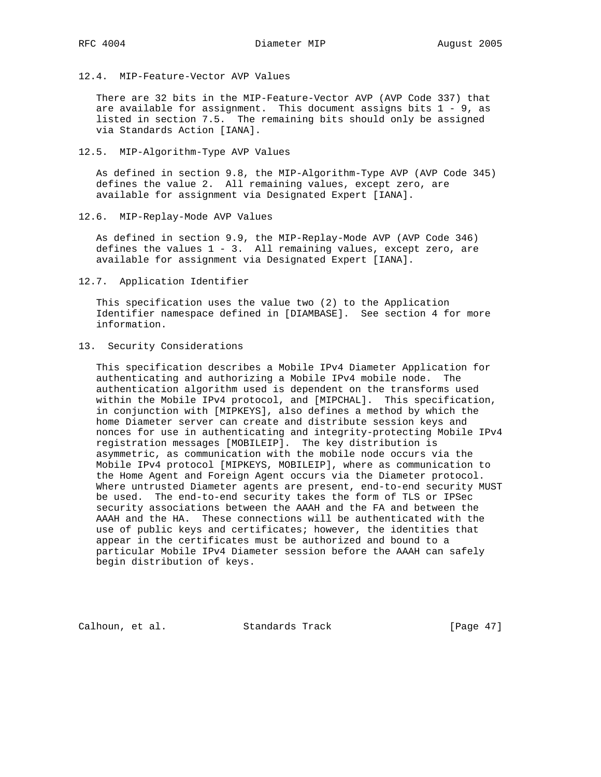12.4. MIP-Feature-Vector AVP Values

 There are 32 bits in the MIP-Feature-Vector AVP (AVP Code 337) that are available for assignment. This document assigns bits  $1 - 9$ , as listed in section 7.5. The remaining bits should only be assigned via Standards Action [IANA].

12.5. MIP-Algorithm-Type AVP Values

 As defined in section 9.8, the MIP-Algorithm-Type AVP (AVP Code 345) defines the value 2. All remaining values, except zero, are available for assignment via Designated Expert [IANA].

12.6. MIP-Replay-Mode AVP Values

 As defined in section 9.9, the MIP-Replay-Mode AVP (AVP Code 346) defines the values  $1 - 3$ . All remaining values, except zero, are available for assignment via Designated Expert [IANA].

12.7. Application Identifier

 This specification uses the value two (2) to the Application Identifier namespace defined in [DIAMBASE]. See section 4 for more information.

13. Security Considerations

 This specification describes a Mobile IPv4 Diameter Application for authenticating and authorizing a Mobile IPv4 mobile node. The authentication algorithm used is dependent on the transforms used within the Mobile IPv4 protocol, and [MIPCHAL]. This specification, in conjunction with [MIPKEYS], also defines a method by which the home Diameter server can create and distribute session keys and nonces for use in authenticating and integrity-protecting Mobile IPv4 registration messages [MOBILEIP]. The key distribution is asymmetric, as communication with the mobile node occurs via the Mobile IPv4 protocol [MIPKEYS, MOBILEIP], where as communication to the Home Agent and Foreign Agent occurs via the Diameter protocol. Where untrusted Diameter agents are present, end-to-end security MUST be used. The end-to-end security takes the form of TLS or IPSec security associations between the AAAH and the FA and between the AAAH and the HA. These connections will be authenticated with the use of public keys and certificates; however, the identities that appear in the certificates must be authorized and bound to a particular Mobile IPv4 Diameter session before the AAAH can safely begin distribution of keys.

Calhoun, et al. Standards Track [Page 47]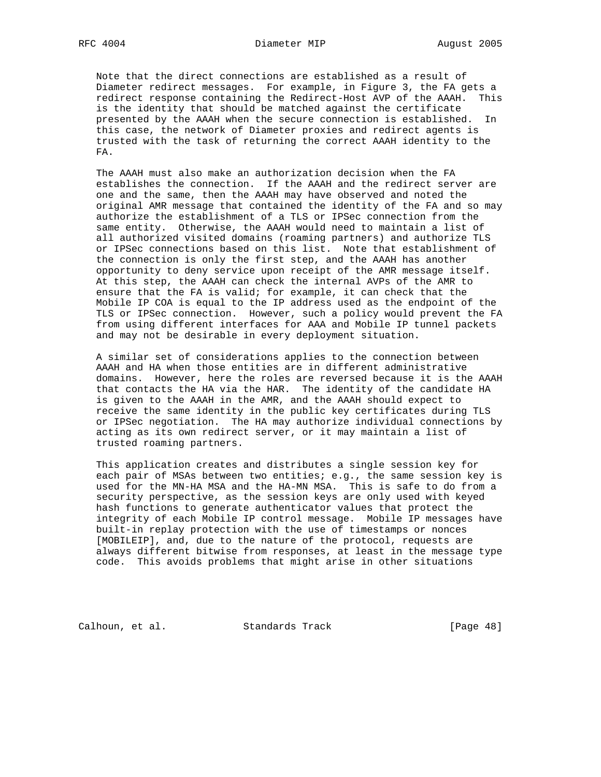Note that the direct connections are established as a result of Diameter redirect messages. For example, in Figure 3, the FA gets a redirect response containing the Redirect-Host AVP of the AAAH. This is the identity that should be matched against the certificate presented by the AAAH when the secure connection is established. In this case, the network of Diameter proxies and redirect agents is trusted with the task of returning the correct AAAH identity to the FA.

 The AAAH must also make an authorization decision when the FA establishes the connection. If the AAAH and the redirect server are one and the same, then the AAAH may have observed and noted the original AMR message that contained the identity of the FA and so may authorize the establishment of a TLS or IPSec connection from the same entity. Otherwise, the AAAH would need to maintain a list of all authorized visited domains (roaming partners) and authorize TLS or IPSec connections based on this list. Note that establishment of the connection is only the first step, and the AAAH has another opportunity to deny service upon receipt of the AMR message itself. At this step, the AAAH can check the internal AVPs of the AMR to ensure that the FA is valid; for example, it can check that the Mobile IP COA is equal to the IP address used as the endpoint of the TLS or IPSec connection. However, such a policy would prevent the FA from using different interfaces for AAA and Mobile IP tunnel packets and may not be desirable in every deployment situation.

 A similar set of considerations applies to the connection between AAAH and HA when those entities are in different administrative domains. However, here the roles are reversed because it is the AAAH that contacts the HA via the HAR. The identity of the candidate HA is given to the AAAH in the AMR, and the AAAH should expect to receive the same identity in the public key certificates during TLS or IPSec negotiation. The HA may authorize individual connections by acting as its own redirect server, or it may maintain a list of trusted roaming partners.

 This application creates and distributes a single session key for each pair of MSAs between two entities; e.g., the same session key is used for the MN-HA MSA and the HA-MN MSA. This is safe to do from a security perspective, as the session keys are only used with keyed hash functions to generate authenticator values that protect the integrity of each Mobile IP control message. Mobile IP messages have built-in replay protection with the use of timestamps or nonces [MOBILEIP], and, due to the nature of the protocol, requests are always different bitwise from responses, at least in the message type code. This avoids problems that might arise in other situations

Calhoun, et al. Standards Track [Page 48]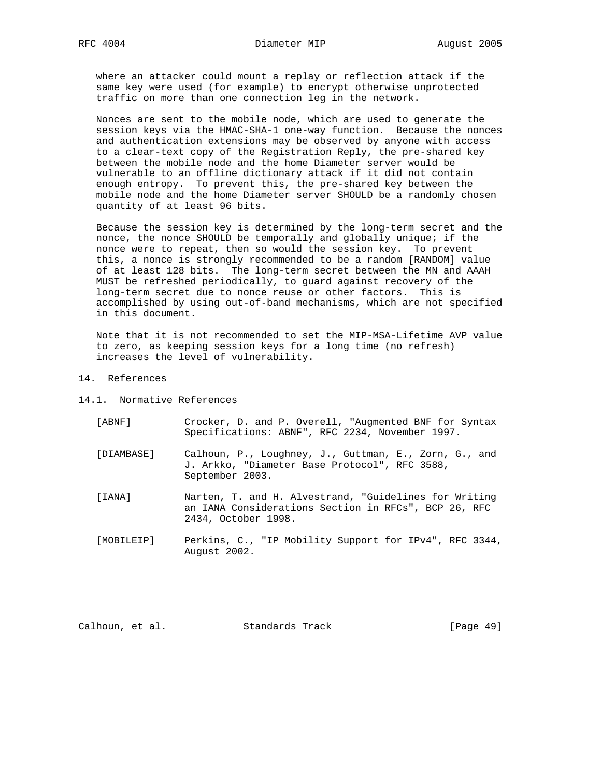where an attacker could mount a replay or reflection attack if the same key were used (for example) to encrypt otherwise unprotected traffic on more than one connection leg in the network.

 Nonces are sent to the mobile node, which are used to generate the session keys via the HMAC-SHA-1 one-way function. Because the nonces and authentication extensions may be observed by anyone with access to a clear-text copy of the Registration Reply, the pre-shared key between the mobile node and the home Diameter server would be vulnerable to an offline dictionary attack if it did not contain enough entropy. To prevent this, the pre-shared key between the mobile node and the home Diameter server SHOULD be a randomly chosen quantity of at least 96 bits.

 Because the session key is determined by the long-term secret and the nonce, the nonce SHOULD be temporally and globally unique; if the nonce were to repeat, then so would the session key. To prevent this, a nonce is strongly recommended to be a random [RANDOM] value of at least 128 bits. The long-term secret between the MN and AAAH MUST be refreshed periodically, to guard against recovery of the long-term secret due to nonce reuse or other factors. This is accomplished by using out-of-band mechanisms, which are not specified in this document.

 Note that it is not recommended to set the MIP-MSA-Lifetime AVP value to zero, as keeping session keys for a long time (no refresh) increases the level of vulnerability.

- 14. References
- 14.1. Normative References

| ABNF 1 | Crocker, D. and P. Overell, "Augmented BNF for Syntax |  |  |  |  |  |
|--------|-------------------------------------------------------|--|--|--|--|--|
|        | Specifications: ABNF", RFC 2234, November 1997.       |  |  |  |  |  |

- [DIAMBASE] Calhoun, P., Loughney, J., Guttman, E., Zorn, G., and J. Arkko, "Diameter Base Protocol", RFC 3588, September 2003.
- [IANA] Narten, T. and H. Alvestrand, "Guidelines for Writing an IANA Considerations Section in RFCs", BCP 26, RFC 2434, October 1998.
- [MOBILEIP] Perkins, C., "IP Mobility Support for IPv4", RFC 3344, August 2002.

| Calhoun, et al. |  | Standards Track | [Page 49] |
|-----------------|--|-----------------|-----------|
|-----------------|--|-----------------|-----------|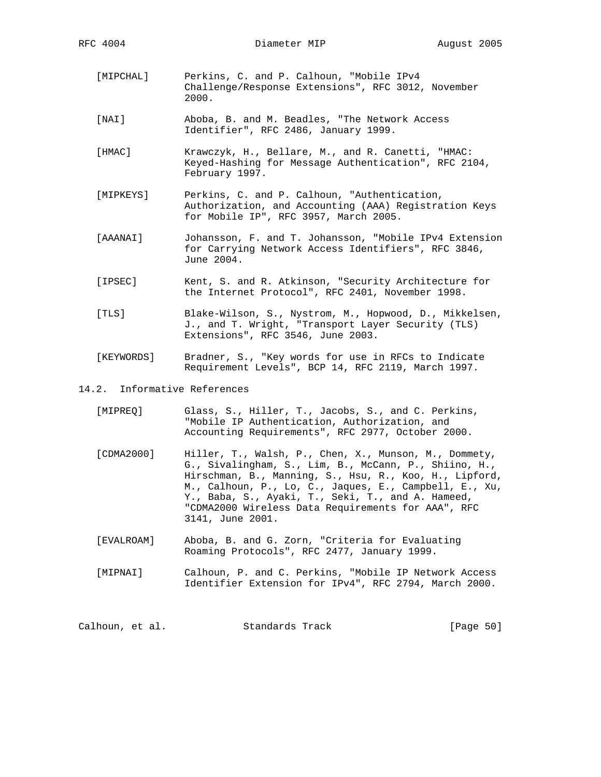RFC 4004 Diameter MIP August 2005

- [MIPCHAL] Perkins, C. and P. Calhoun, "Mobile IPv4 Challenge/Response Extensions", RFC 3012, November 2000.
- [NAI] Aboba, B. and M. Beadles, "The Network Access Identifier", RFC 2486, January 1999.
- [HMAC] Krawczyk, H., Bellare, M., and R. Canetti, "HMAC: Keyed-Hashing for Message Authentication", RFC 2104, February 1997.
- [MIPKEYS] Perkins, C. and P. Calhoun, "Authentication, Authorization, and Accounting (AAA) Registration Keys for Mobile IP", RFC 3957, March 2005.
- [AAANAI] Johansson, F. and T. Johansson, "Mobile IPv4 Extension for Carrying Network Access Identifiers", RFC 3846, June 2004.
- [IPSEC] Kent, S. and R. Atkinson, "Security Architecture for the Internet Protocol", RFC 2401, November 1998.
- [TLS] Blake-Wilson, S., Nystrom, M., Hopwood, D., Mikkelsen, J., and T. Wright, "Transport Layer Security (TLS) Extensions", RFC 3546, June 2003.
- [KEYWORDS] Bradner, S., "Key words for use in RFCs to Indicate Requirement Levels", BCP 14, RFC 2119, March 1997.

#### 14.2. Informative References

| [MIPREO] | Glass, S., Hiller, T., Jacobs, S., and C. Perkins, |  |  |
|----------|----------------------------------------------------|--|--|
|          | "Mobile IP Authentication, Authorization, and      |  |  |
|          | Accounting Requirements", RFC 2977, October 2000.  |  |  |

- [CDMA2000] Hiller, T., Walsh, P., Chen, X., Munson, M., Dommety, G., Sivalingham, S., Lim, B., McCann, P., Shiino, H., Hirschman, B., Manning, S., Hsu, R., Koo, H., Lipford, M., Calhoun, P., Lo, C., Jaques, E., Campbell, E., Xu, Y., Baba, S., Ayaki, T., Seki, T., and A. Hameed, "CDMA2000 Wireless Data Requirements for AAA", RFC 3141, June 2001.
- [EVALROAM] Aboba, B. and G. Zorn, "Criteria for Evaluating Roaming Protocols", RFC 2477, January 1999.
- [MIPNAI] Calhoun, P. and C. Perkins, "Mobile IP Network Access Identifier Extension for IPv4", RFC 2794, March 2000.

Calhoun, et al. Standards Track [Page 50]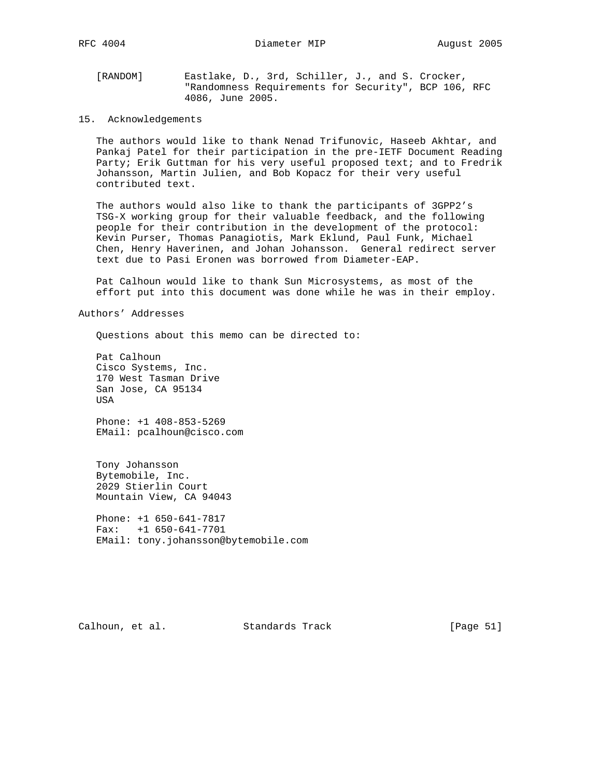RFC 4004 **Diameter MIP August 2005** 

 [RANDOM] Eastlake, D., 3rd, Schiller, J., and S. Crocker, "Randomness Requirements for Security", BCP 106, RFC 4086, June 2005.

15. Acknowledgements

 The authors would like to thank Nenad Trifunovic, Haseeb Akhtar, and Pankaj Patel for their participation in the pre-IETF Document Reading Party; Erik Guttman for his very useful proposed text; and to Fredrik Johansson, Martin Julien, and Bob Kopacz for their very useful contributed text.

 The authors would also like to thank the participants of 3GPP2's TSG-X working group for their valuable feedback, and the following people for their contribution in the development of the protocol: Kevin Purser, Thomas Panagiotis, Mark Eklund, Paul Funk, Michael Chen, Henry Haverinen, and Johan Johansson. General redirect server text due to Pasi Eronen was borrowed from Diameter-EAP.

 Pat Calhoun would like to thank Sun Microsystems, as most of the effort put into this document was done while he was in their employ.

Authors' Addresses

Questions about this memo can be directed to:

 Pat Calhoun Cisco Systems, Inc. 170 West Tasman Drive San Jose, CA 95134 USA

 Phone: +1 408-853-5269 EMail: pcalhoun@cisco.com

 Tony Johansson Bytemobile, Inc. 2029 Stierlin Court Mountain View, CA 94043

 Phone: +1 650-641-7817 Fax: +1 650-641-7701 EMail: tony.johansson@bytemobile.com

Calhoun, et al. Standards Track [Page 51]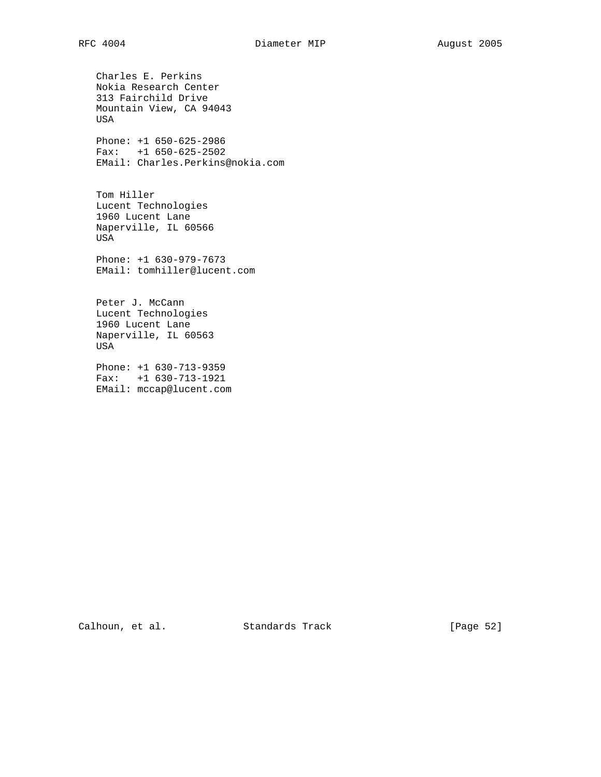Charles E. Perkins Nokia Research Center 313 Fairchild Drive Mountain View, CA 94043 USA Phone: +1 650-625-2986 Fax: +1 650-625-2502 EMail: Charles.Perkins@nokia.com Tom Hiller Lucent Technologies 1960 Lucent Lane Naperville, IL 60566 USA Phone: +1 630-979-7673 EMail: tomhiller@lucent.com Peter J. McCann Lucent Technologies 1960 Lucent Lane Naperville, IL 60563 USA

 Phone: +1 630-713-9359 Fax: +1 630-713-1921 EMail: mccap@lucent.com

Calhoun, et al. Standards Track [Page 52]